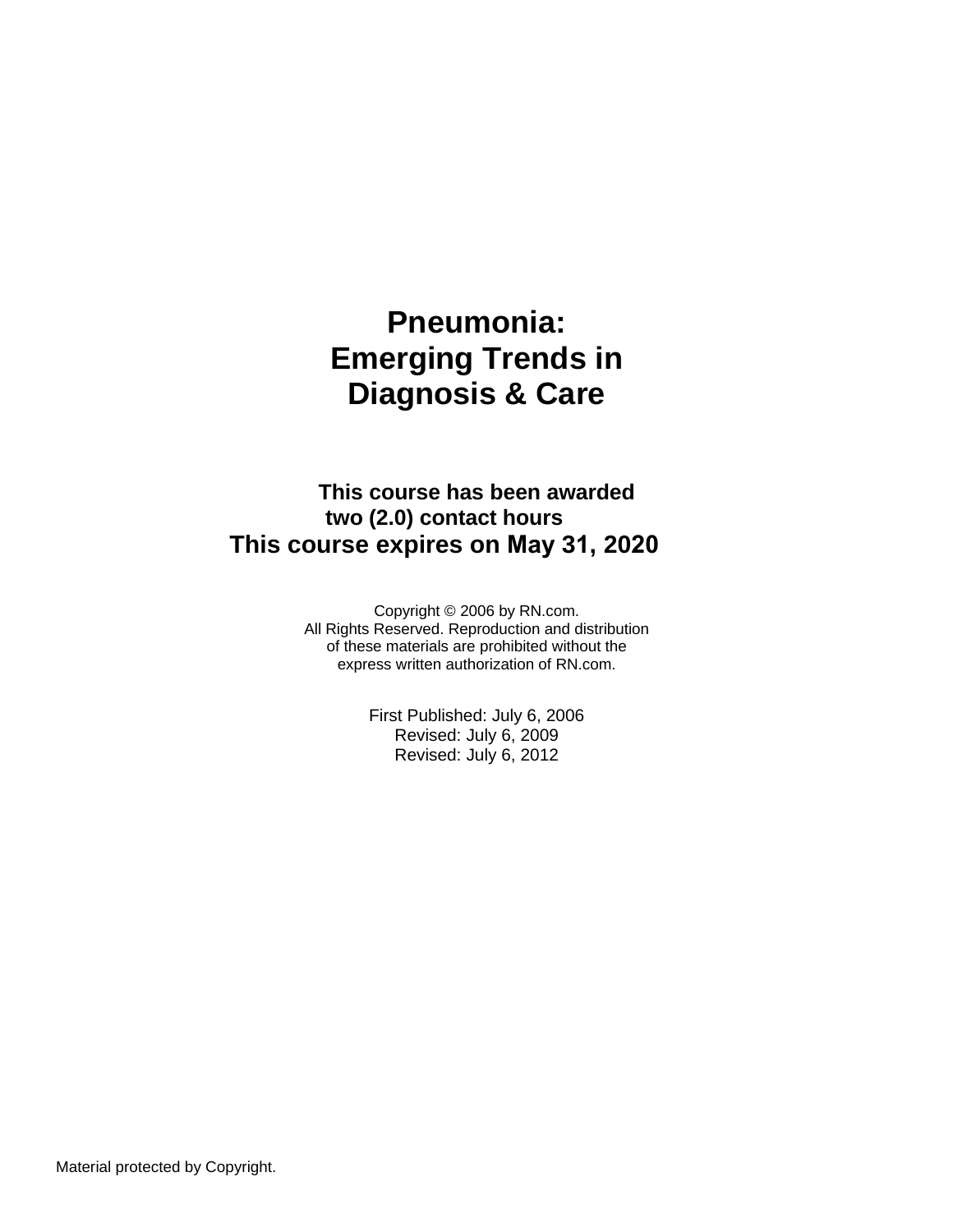# **Pneumonia: Emerging Trends in Diagnosis & Care**

**This course has been awarded two (2.0) contact hours This course expires on May 31, 2020**

> Copyright © 2006 by RN.com. All Rights Reserved. Reproduction and distribution of these materials are prohibited without the express written authorization of RN.com.

> > First Published: July 6, 2006 Revised: July 6, 2009 Revised: July 6, 2012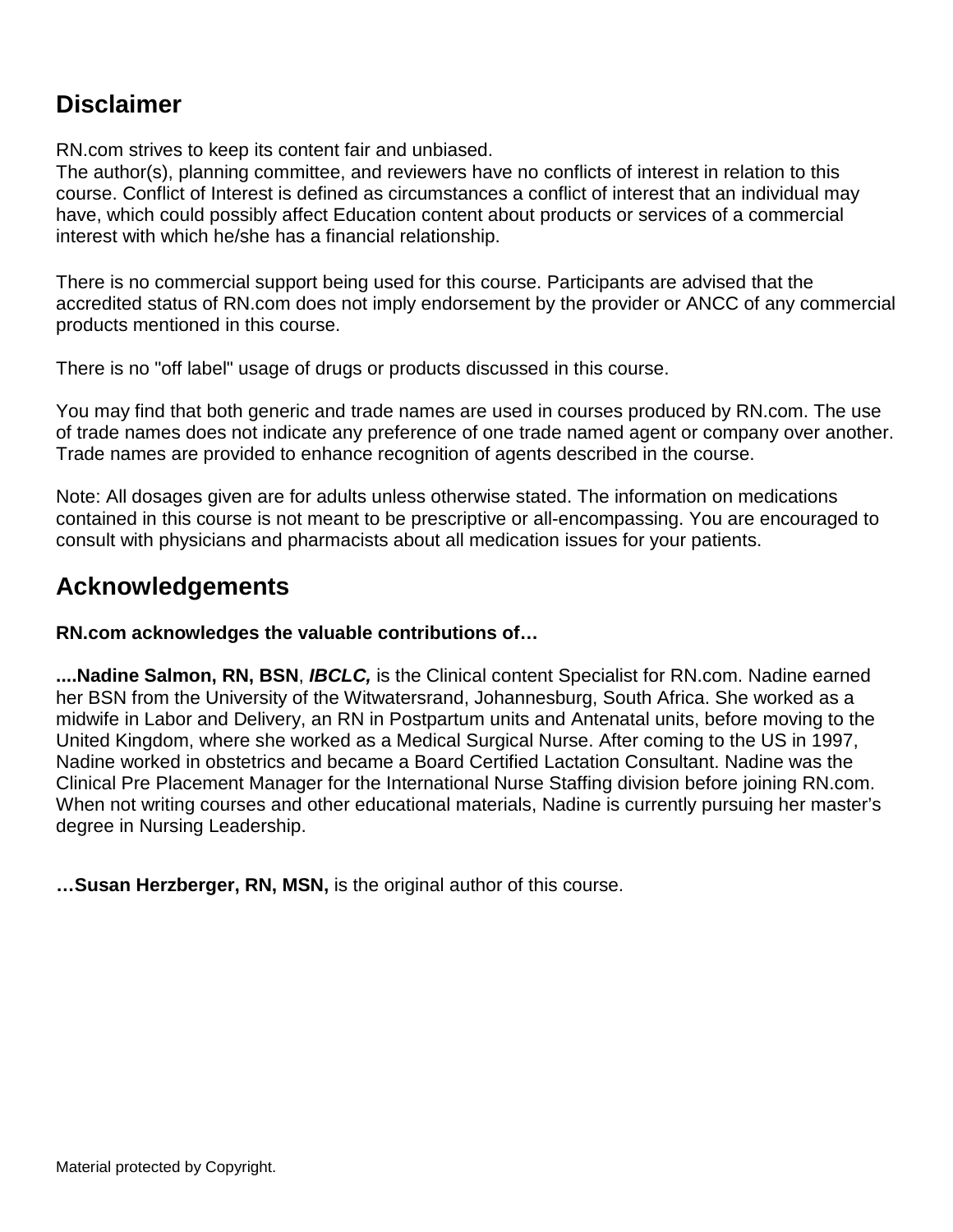### **Disclaimer**

RN.com strives to keep its content fair and unbiased.

The author(s), planning committee, and reviewers have no conflicts of interest in relation to this course. Conflict of Interest is defined as circumstances a conflict of interest that an individual may have, which could possibly affect Education content about products or services of a commercial interest with which he/she has a financial relationship.

There is no commercial support being used for this course. Participants are advised that the accredited status of RN.com does not imply endorsement by the provider or ANCC of any commercial products mentioned in this course.

There is no "off label" usage of drugs or products discussed in this course.

You may find that both generic and trade names are used in courses produced by RN.com. The use of trade names does not indicate any preference of one trade named agent or company over another. Trade names are provided to enhance recognition of agents described in the course.

Note: All dosages given are for adults unless otherwise stated. The information on medications contained in this course is not meant to be prescriptive or all-encompassing. You are encouraged to consult with physicians and pharmacists about all medication issues for your patients.

### **Acknowledgements**

**RN.com acknowledges the valuable contributions of…**

**....Nadine Salmon, RN, BSN**, *IBCLC,* is the Clinical content Specialist for RN.com. Nadine earned her BSN from the University of the Witwatersrand, Johannesburg, South Africa. She worked as a midwife in Labor and Delivery, an RN in Postpartum units and Antenatal units, before moving to the United Kingdom, where she worked as a Medical Surgical Nurse. After coming to the US in 1997, Nadine worked in obstetrics and became a Board Certified Lactation Consultant. Nadine was the Clinical Pre Placement Manager for the International Nurse Staffing division before joining RN.com. When not writing courses and other educational materials, Nadine is currently pursuing her master's degree in Nursing Leadership.

**…Susan Herzberger, RN, MSN,** is the original author of this course.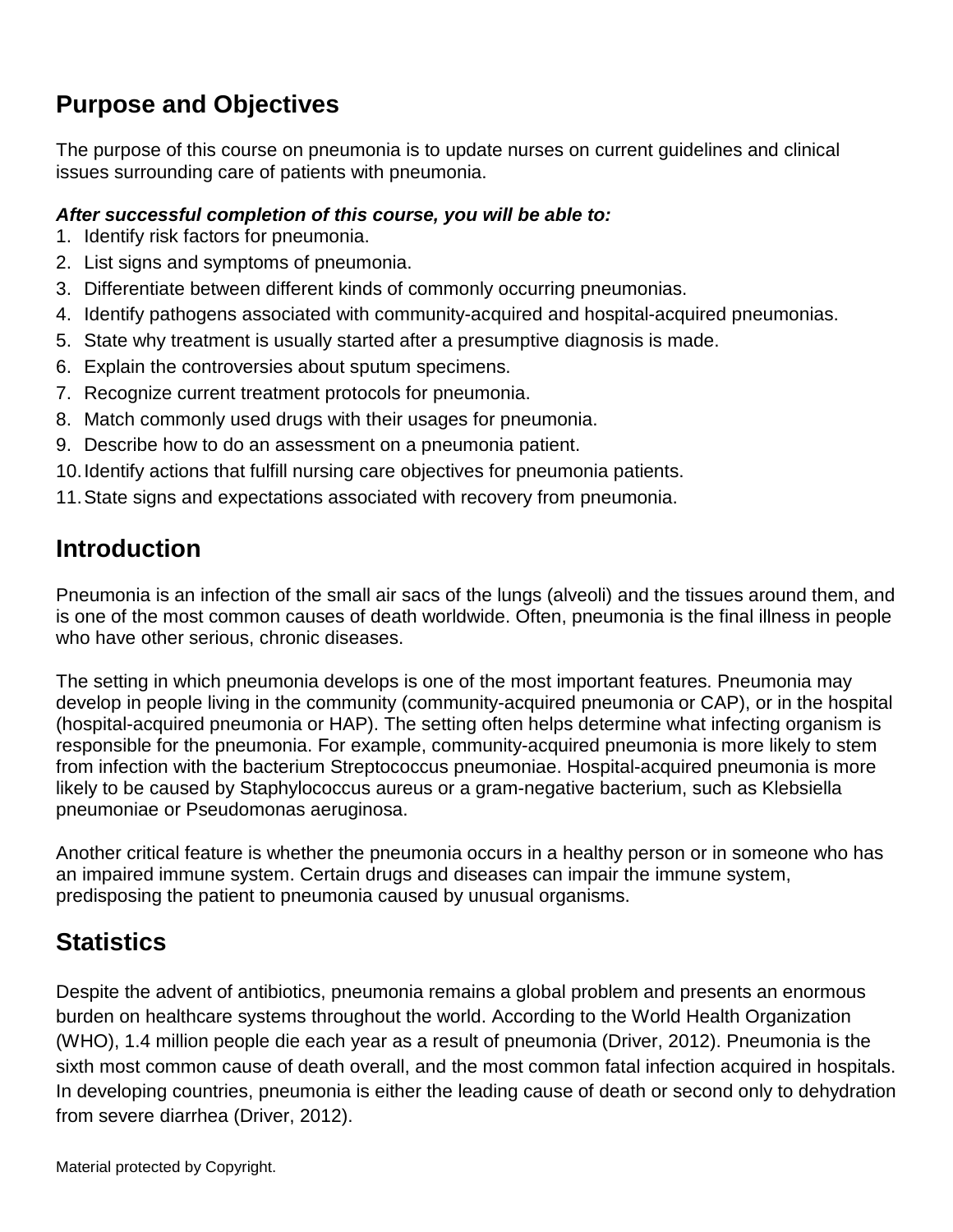# **Purpose and Objectives**

The purpose of this course on pneumonia is to update nurses on current guidelines and clinical issues surrounding care of patients with pneumonia.

#### *After successful completion of this course, you will be able to:*

- 1. Identify risk factors for pneumonia.
- 2. List signs and symptoms of pneumonia.
- 3. Differentiate between different kinds of commonly occurring pneumonias.
- 4. Identify pathogens associated with community-acquired and hospital-acquired pneumonias.
- 5. State why treatment is usually started after a presumptive diagnosis is made.
- 6. Explain the controversies about sputum specimens.
- 7. Recognize current treatment protocols for pneumonia.
- 8. Match commonly used drugs with their usages for pneumonia.
- 9. Describe how to do an assessment on a pneumonia patient.
- 10.Identify actions that fulfill nursing care objectives for pneumonia patients.
- 11.State signs and expectations associated with recovery from pneumonia.

### **Introduction**

Pneumonia is an infection of the small air sacs of the lungs (alveoli) and the tissues around them, and is one of the most common causes of death worldwide. Often, pneumonia is the final illness in people who have other serious, chronic diseases.

The setting in which pneumonia develops is one of the most important features. Pneumonia may develop in people living in the community (community-acquired pneumonia or CAP), or in the hospital (hospital-acquired pneumonia or HAP). The setting often helps determine what infecting organism is responsible for the pneumonia. For example, community-acquired pneumonia is more likely to stem from infection with the bacterium Streptococcus pneumoniae. Hospital-acquired pneumonia is more likely to be caused by Staphylococcus aureus or a gram-negative bacterium, such as Klebsiella pneumoniae or Pseudomonas aeruginosa.

Another critical feature is whether the pneumonia occurs in a healthy person or in someone who has an impaired immune system. Certain drugs and diseases can impair the immune system, predisposing the patient to pneumonia caused by unusual organisms.

### **Statistics**

Despite the advent of antibiotics, pneumonia remains a global problem and presents an enormous burden on healthcare systems throughout the world. According to the World Health Organization (WHO), 1.4 million people die each year as a result of pneumonia (Driver, 2012). Pneumonia is the sixth most common cause of death overall, and the most common fatal infection acquired in hospitals. In developing countries, pneumonia is either the leading cause of death or second only to dehydration from severe diarrhea (Driver, 2012).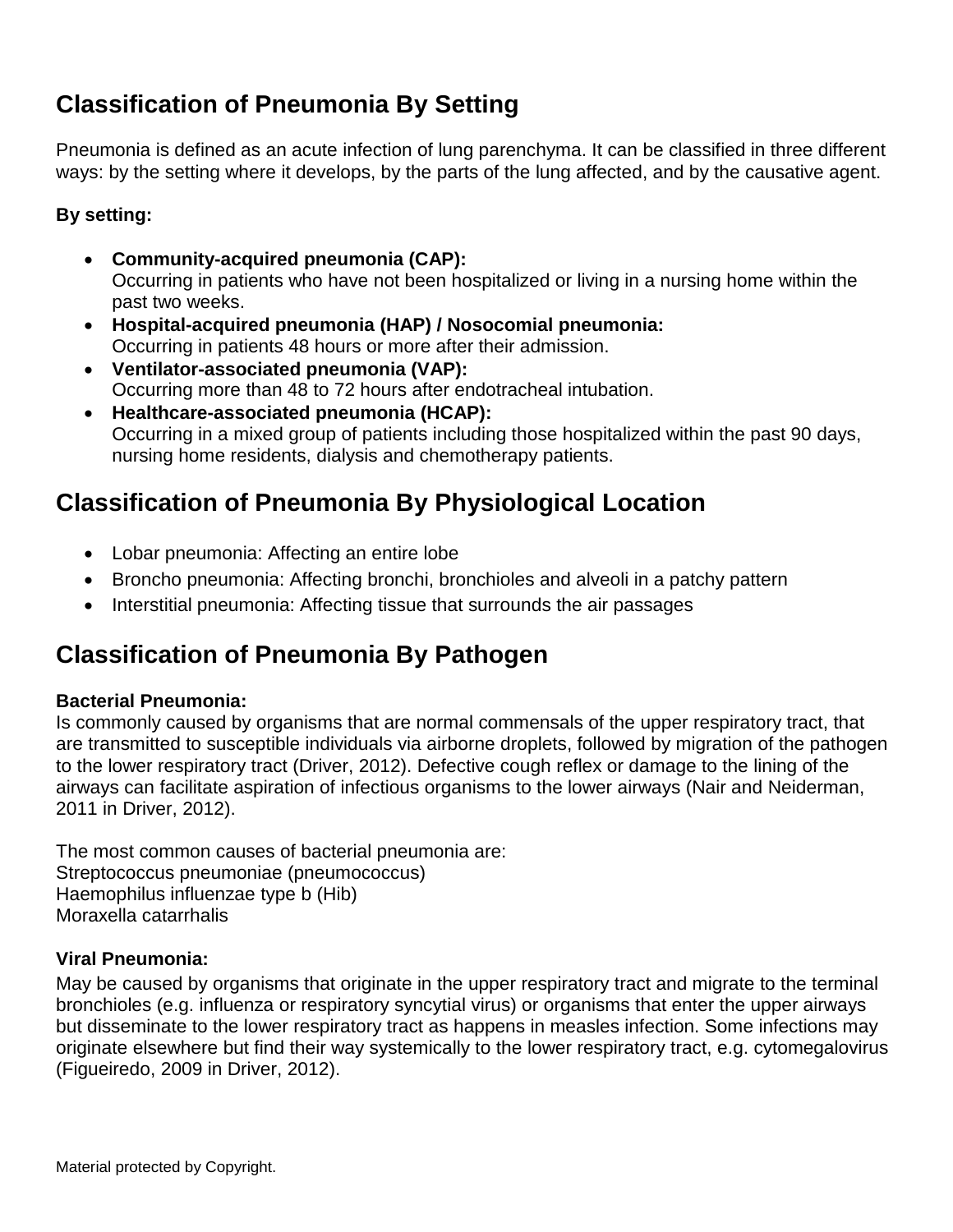## **Classification of Pneumonia By Setting**

Pneumonia is defined as an acute infection of lung parenchyma. It can be classified in three different ways: by the setting where it develops, by the parts of the lung affected, and by the causative agent.

#### **By setting:**

- **Community-acquired pneumonia (CAP):** Occurring in patients who have not been hospitalized or living in a nursing home within the past two weeks.
- **Hospital-acquired pneumonia (HAP) / Nosocomial pneumonia:** Occurring in patients 48 hours or more after their admission.
- **Ventilator-associated pneumonia (VAP):** Occurring more than 48 to 72 hours after endotracheal intubation.
- **Healthcare-associated pneumonia (HCAP):** Occurring in a mixed group of patients including those hospitalized within the past 90 days, nursing home residents, dialysis and chemotherapy patients.

## **Classification of Pneumonia By Physiological Location**

- Lobar pneumonia: Affecting an entire lobe
- Broncho pneumonia: Affecting bronchi, bronchioles and alveoli in a patchy pattern
- Interstitial pneumonia: Affecting tissue that surrounds the air passages

### **Classification of Pneumonia By Pathogen**

#### **Bacterial Pneumonia:**

Is commonly caused by organisms that are normal commensals of the upper respiratory tract, that are transmitted to susceptible individuals via airborne droplets, followed by migration of the pathogen to the lower respiratory tract (Driver, 2012). Defective cough reflex or damage to the lining of the airways can facilitate aspiration of infectious organisms to the lower airways (Nair and Neiderman, 2011 in Driver, 2012).

The most common causes of bacterial pneumonia are: Streptococcus pneumoniae (pneumococcus) Haemophilus influenzae type b (Hib) Moraxella catarrhalis

#### **Viral Pneumonia:**

May be caused by organisms that originate in the upper respiratory tract and migrate to the terminal bronchioles (e.g. influenza or respiratory syncytial virus) or organisms that enter the upper airways but disseminate to the lower respiratory tract as happens in measles infection. Some infections may originate elsewhere but find their way systemically to the lower respiratory tract, e.g. cytomegalovirus (Figueiredo, 2009 in Driver, 2012).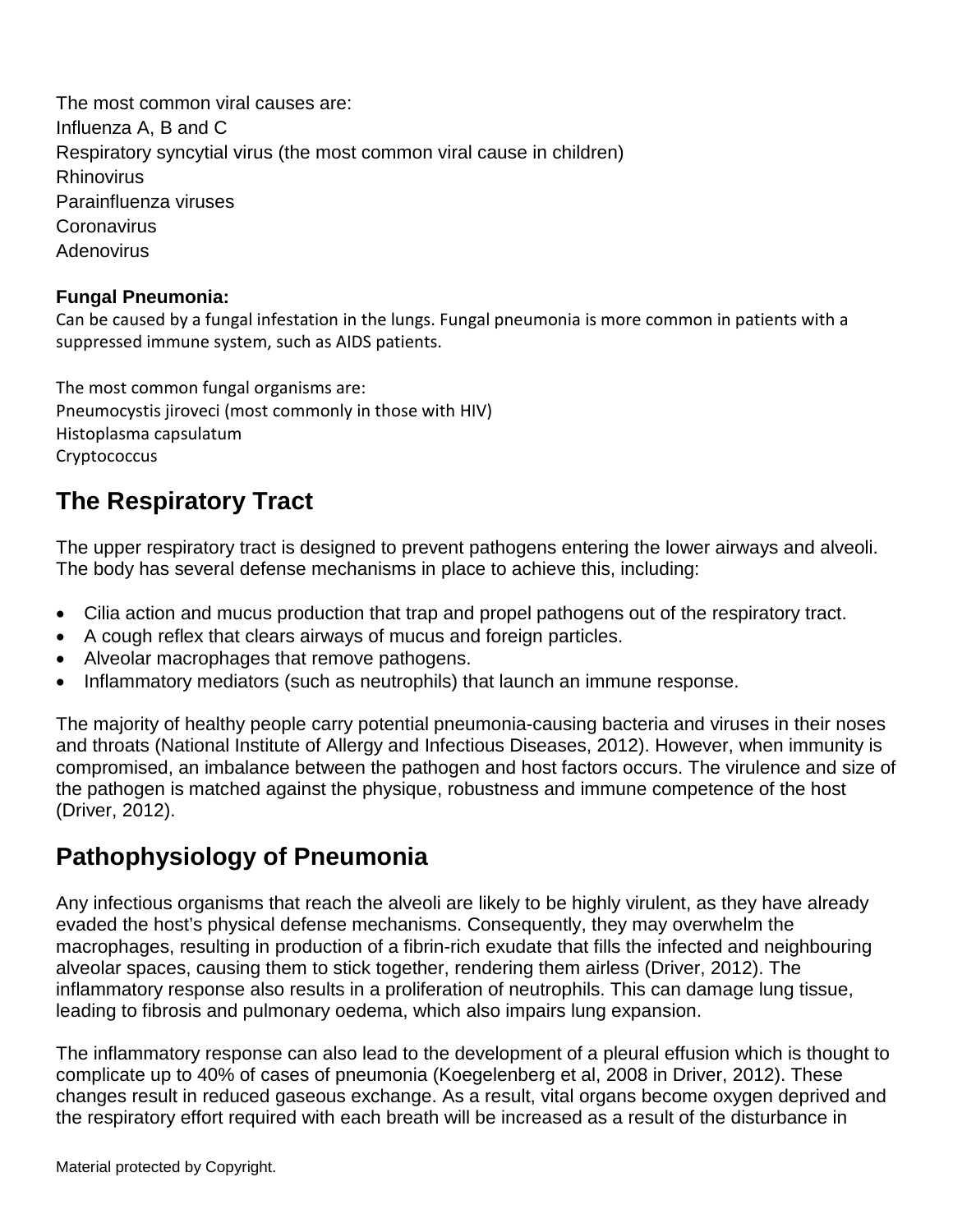The most common viral causes are: Influenza A, B and C Respiratory syncytial virus (the most common viral cause in children) **Rhinovirus** Parainfluenza viruses **Coronavirus Adenovirus** 

#### **Fungal Pneumonia:**

Can be caused by a fungal infestation in the lungs. Fungal pneumonia is more common in patients with a suppressed immune system, such as AIDS patients.

The most common fungal organisms are: Pneumocystis jiroveci (most commonly in those with HIV) Histoplasma capsulatum **Cryptococcus** 

## **The Respiratory Tract**

The upper respiratory tract is designed to prevent pathogens entering the lower airways and alveoli. The body has several defense mechanisms in place to achieve this, including:

- Cilia action and mucus production that trap and propel pathogens out of the respiratory tract.
- A cough reflex that clears airways of mucus and foreign particles.
- Alveolar macrophages that remove pathogens.
- Inflammatory mediators (such as neutrophils) that launch an immune response.

The majority of healthy people carry potential pneumonia-causing bacteria and viruses in their noses and throats (National Institute of Allergy and Infectious Diseases, 2012). However, when immunity is compromised, an imbalance between the pathogen and host factors occurs. The virulence and size of the pathogen is matched against the physique, robustness and immune competence of the host (Driver, 2012).

### **Pathophysiology of Pneumonia**

Any infectious organisms that reach the alveoli are likely to be highly virulent, as they have already evaded the host's physical defense mechanisms. Consequently, they may overwhelm the macrophages, resulting in production of a fibrin-rich exudate that fills the infected and neighbouring alveolar spaces, causing them to stick together, rendering them airless (Driver, 2012). The inflammatory response also results in a proliferation of neutrophils. This can damage lung tissue, leading to fibrosis and pulmonary oedema, which also impairs lung expansion.

The inflammatory response can also lead to the development of a pleural effusion which is thought to complicate up to 40% of cases of pneumonia (Koegelenberg et al, 2008 in Driver, 2012). These changes result in reduced gaseous exchange. As a result, vital organs become oxygen deprived and the respiratory effort required with each breath will be increased as a result of the disturbance in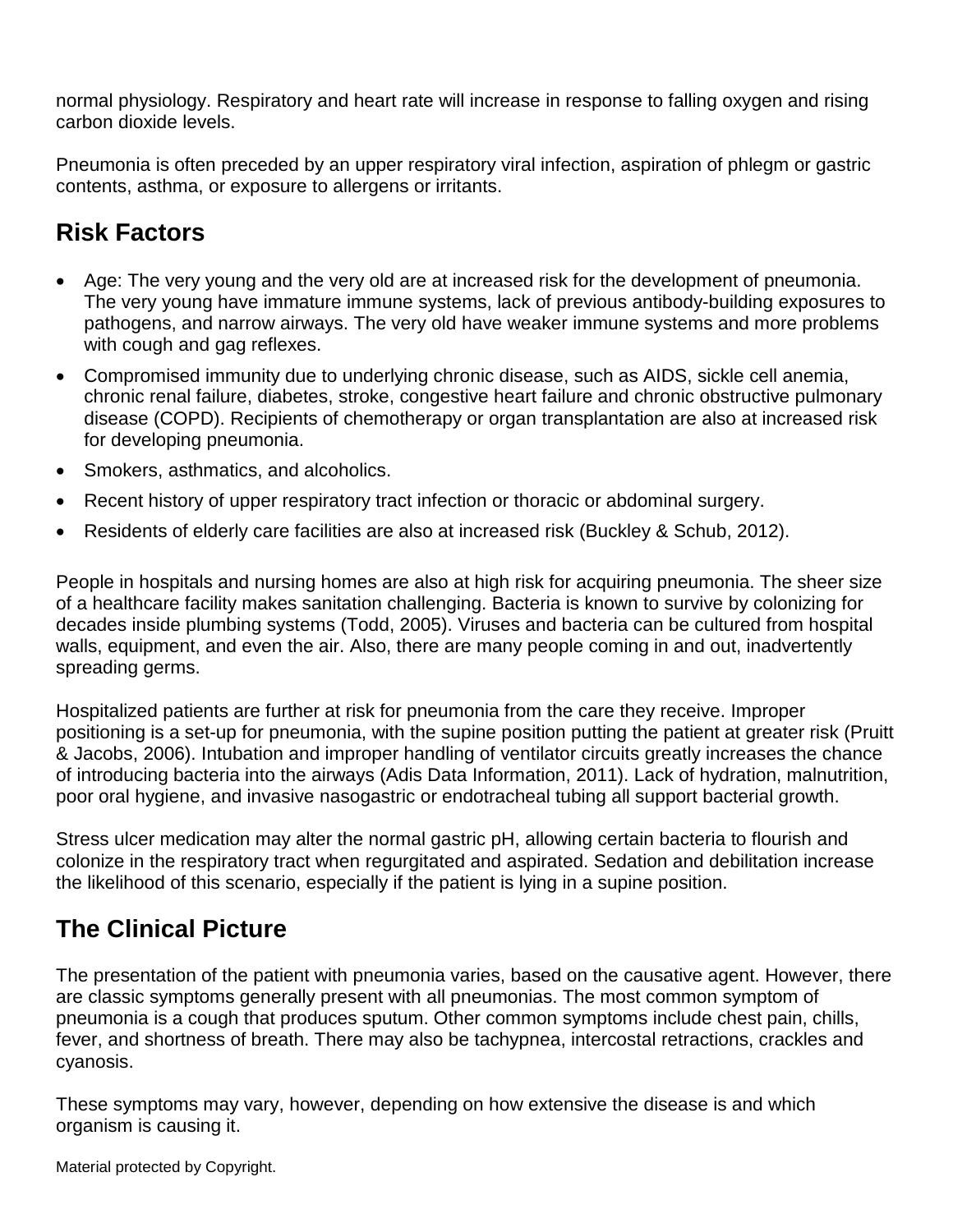normal physiology. Respiratory and heart rate will increase in response to falling oxygen and rising carbon dioxide levels.

Pneumonia is often preceded by an upper respiratory viral infection, aspiration of phlegm or gastric contents, asthma, or exposure to allergens or irritants.

### **Risk Factors**

- Age: The very young and the very old are at increased risk for the development of pneumonia. The very young have immature immune systems, lack of previous antibody-building exposures to pathogens, and narrow airways. The very old have weaker immune systems and more problems with cough and gag reflexes.
- Compromised immunity due to underlying chronic disease, such as AIDS, sickle cell anemia, chronic renal failure, diabetes, stroke, congestive heart failure and chronic obstructive pulmonary disease (COPD). Recipients of chemotherapy or organ transplantation are also at increased risk for developing pneumonia.
- Smokers, asthmatics, and alcoholics.
- Recent history of upper respiratory tract infection or thoracic or abdominal surgery.
- Residents of elderly care facilities are also at increased risk (Buckley & Schub, 2012).

People in hospitals and nursing homes are also at high risk for acquiring pneumonia. The sheer size of a healthcare facility makes sanitation challenging. Bacteria is known to survive by colonizing for decades inside plumbing systems (Todd, 2005). Viruses and bacteria can be cultured from hospital walls, equipment, and even the air. Also, there are many people coming in and out, inadvertently spreading germs.

Hospitalized patients are further at risk for pneumonia from the care they receive. Improper positioning is a set-up for pneumonia, with the supine position putting the patient at greater risk (Pruitt & Jacobs, 2006). Intubation and improper handling of ventilator circuits greatly increases the chance of introducing bacteria into the airways (Adis Data Information, 2011). Lack of hydration, malnutrition, poor oral hygiene, and invasive nasogastric or endotracheal tubing all support bacterial growth.

Stress ulcer medication may alter the normal gastric pH, allowing certain bacteria to flourish and colonize in the respiratory tract when regurgitated and aspirated. Sedation and debilitation increase the likelihood of this scenario, especially if the patient is lying in a supine position.

## **The Clinical Picture**

The presentation of the patient with pneumonia varies, based on the causative agent. However, there are classic symptoms generally present with all pneumonias. The most common symptom of pneumonia is a cough that produces sputum. Other common symptoms include chest pain, chills, fever, and shortness of breath. There may also be tachypnea, intercostal retractions, crackles and cyanosis.

These symptoms may vary, however, depending on how extensive the disease is and which organism is causing it.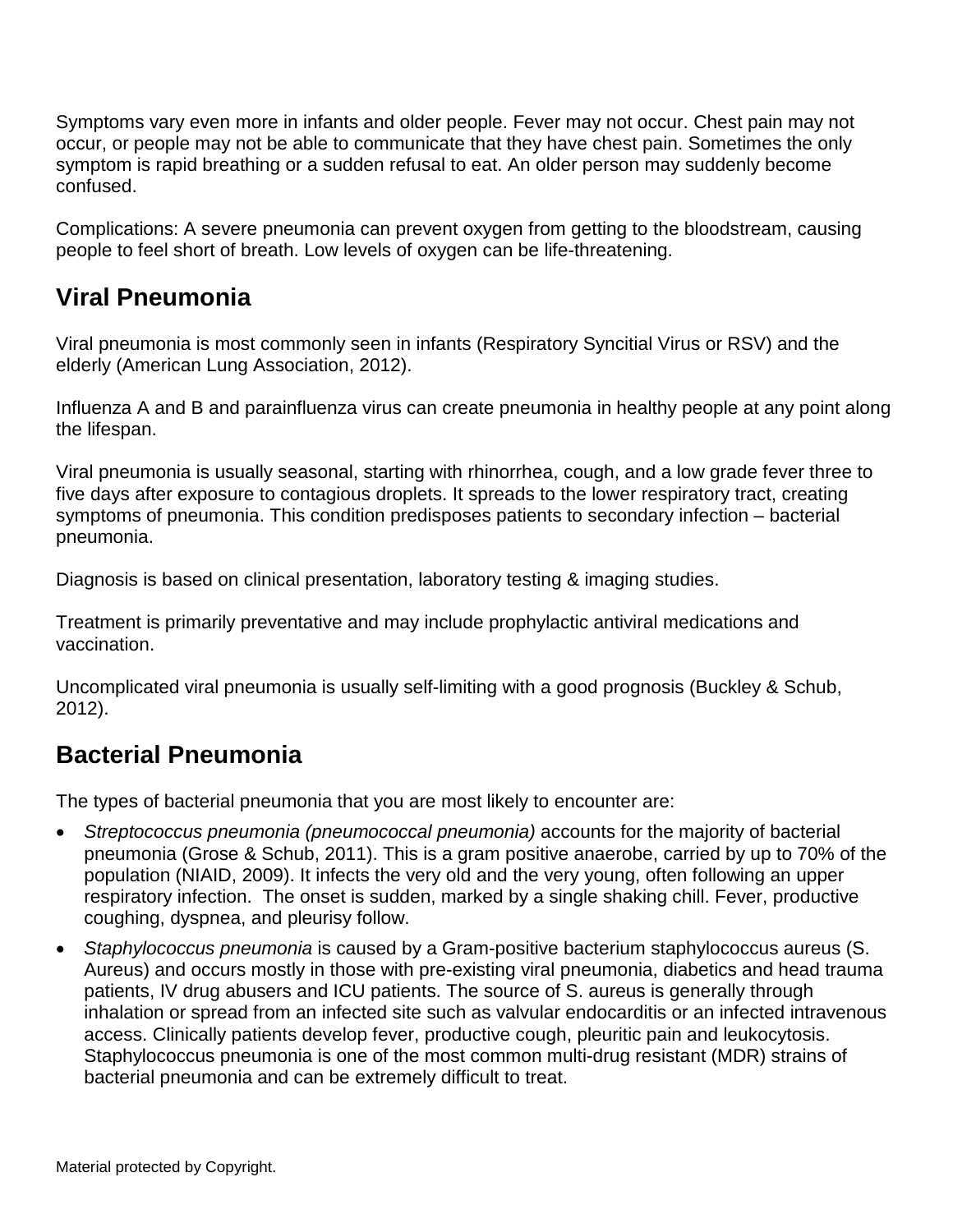Symptoms vary even more in infants and older people. Fever may not occur. Chest pain may not occur, or people may not be able to communicate that they have chest pain. Sometimes the only symptom is rapid breathing or a sudden refusal to eat. An older person may suddenly become confused.

Complications: A severe pneumonia can prevent oxygen from getting to the bloodstream, causing people to feel short of breath. Low levels of oxygen can be life-threatening.

## **Viral Pneumonia**

Viral pneumonia is most commonly seen in infants (Respiratory Syncitial Virus or RSV) and the elderly (American Lung Association, 2012).

Influenza A and B and parainfluenza virus can create pneumonia in healthy people at any point along the lifespan.

Viral pneumonia is usually seasonal, starting with rhinorrhea, cough, and a low grade fever three to five days after exposure to contagious droplets. It spreads to the lower respiratory tract, creating symptoms of pneumonia. This condition predisposes patients to secondary infection – bacterial pneumonia.

Diagnosis is based on clinical presentation, laboratory testing & imaging studies.

Treatment is primarily preventative and may include prophylactic antiviral medications and vaccination.

Uncomplicated viral pneumonia is usually self-limiting with a good prognosis (Buckley & Schub, 2012).

## **Bacterial Pneumonia**

The types of bacterial pneumonia that you are most likely to encounter are:

- *Streptococcus pneumonia (pneumococcal pneumonia)* accounts for the majority of bacterial pneumonia (Grose & Schub, 2011). This is a gram positive anaerobe, carried by up to 70% of the population (NIAID, 2009). It infects the very old and the very young, often following an upper respiratory infection. The onset is sudden, marked by a single shaking chill. Fever, productive coughing, dyspnea, and pleurisy follow.
- *Staphylococcus pneumonia* is caused by a Gram-positive bacterium staphylococcus aureus (S. Aureus) and occurs mostly in those with pre-existing viral pneumonia, diabetics and head trauma patients, IV drug abusers and ICU patients. The source of S. aureus is generally through inhalation or spread from an infected site such as valvular endocarditis or an infected intravenous access. Clinically patients develop fever, productive cough, pleuritic pain and leukocytosis. Staphylococcus pneumonia is one of the most common multi-drug resistant (MDR) strains of bacterial pneumonia and can be extremely difficult to treat.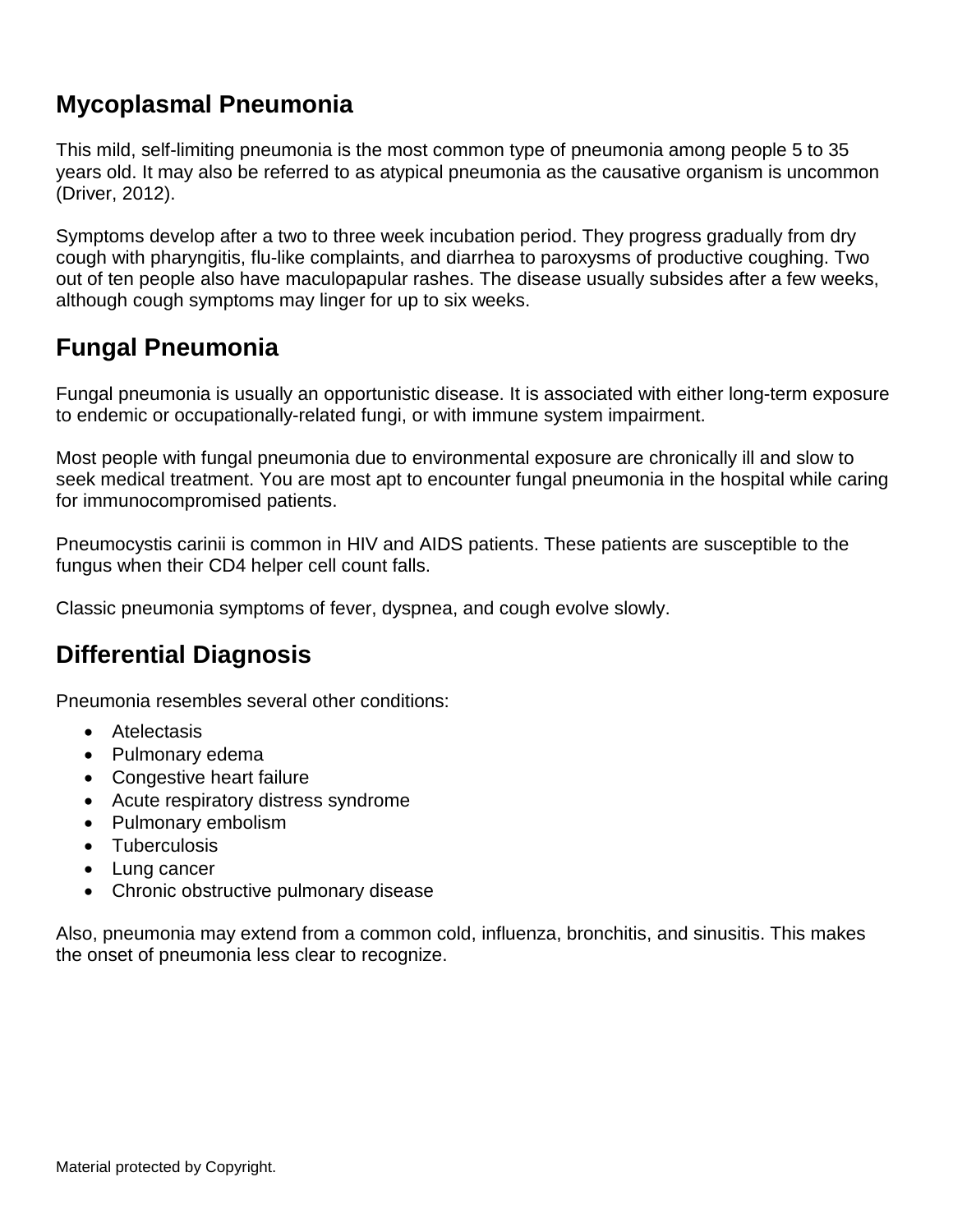## **Mycoplasmal Pneumonia**

This mild, self-limiting pneumonia is the most common type of pneumonia among people 5 to 35 years old. It may also be referred to as atypical pneumonia as the causative organism is uncommon (Driver, 2012).

Symptoms develop after a two to three week incubation period. They progress gradually from dry cough with pharyngitis, flu-like complaints, and diarrhea to paroxysms of productive coughing. Two out of ten people also have maculopapular rashes. The disease usually subsides after a few weeks, although cough symptoms may linger for up to six weeks.

## **Fungal Pneumonia**

Fungal pneumonia is usually an opportunistic disease. It is associated with either long-term exposure to endemic or occupationally-related fungi, or with immune system impairment.

Most people with fungal pneumonia due to environmental exposure are chronically ill and slow to seek medical treatment. You are most apt to encounter fungal pneumonia in the hospital while caring for immunocompromised patients.

Pneumocystis carinii is common in HIV and AIDS patients. These patients are susceptible to the fungus when their CD4 helper cell count falls.

Classic pneumonia symptoms of fever, dyspnea, and cough evolve slowly.

### **Differential Diagnosis**

Pneumonia resembles several other conditions:

- Atelectasis
- Pulmonary edema
- Congestive heart failure
- Acute respiratory distress syndrome
- Pulmonary embolism
- Tuberculosis
- Lung cancer
- Chronic obstructive pulmonary disease

Also, pneumonia may extend from a common cold, influenza, bronchitis, and sinusitis. This makes the onset of pneumonia less clear to recognize.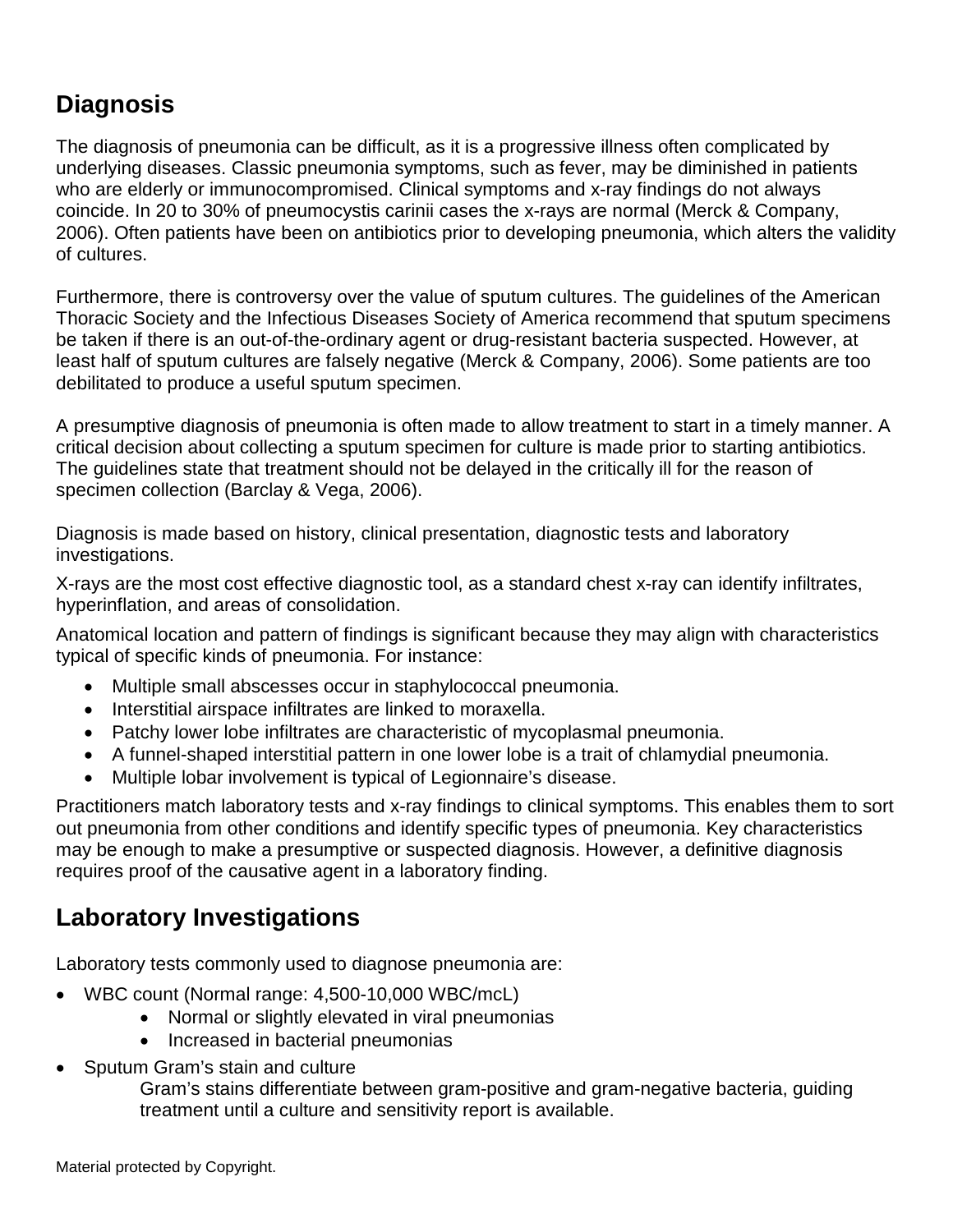## **Diagnosis**

The diagnosis of pneumonia can be difficult, as it is a progressive illness often complicated by underlying diseases. Classic pneumonia symptoms, such as fever, may be diminished in patients who are elderly or immunocompromised. Clinical symptoms and x-ray findings do not always coincide. In 20 to 30% of pneumocystis carinii cases the x-rays are normal (Merck & Company, 2006). Often patients have been on antibiotics prior to developing pneumonia, which alters the validity of cultures.

Furthermore, there is controversy over the value of sputum cultures. The guidelines of the American Thoracic Society and the Infectious Diseases Society of America recommend that sputum specimens be taken if there is an out-of-the-ordinary agent or drug-resistant bacteria suspected. However, at least half of sputum cultures are falsely negative (Merck & Company, 2006). Some patients are too debilitated to produce a useful sputum specimen.

A presumptive diagnosis of pneumonia is often made to allow treatment to start in a timely manner. A critical decision about collecting a sputum specimen for culture is made prior to starting antibiotics. The guidelines state that treatment should not be delayed in the critically ill for the reason of specimen collection (Barclay & Vega, 2006).

Diagnosis is made based on history, clinical presentation, diagnostic tests and laboratory investigations.

X-rays are the most cost effective diagnostic tool, as a standard chest x-ray can identify infiltrates, hyperinflation, and areas of consolidation.

Anatomical location and pattern of findings is significant because they may align with characteristics typical of specific kinds of pneumonia. For instance:

- Multiple small abscesses occur in staphylococcal pneumonia.
- Interstitial airspace infiltrates are linked to moraxella.
- Patchy lower lobe infiltrates are characteristic of mycoplasmal pneumonia.
- A funnel-shaped interstitial pattern in one lower lobe is a trait of chlamydial pneumonia.
- Multiple lobar involvement is typical of Legionnaire's disease.

Practitioners match laboratory tests and x-ray findings to clinical symptoms. This enables them to sort out pneumonia from other conditions and identify specific types of pneumonia. Key characteristics may be enough to make a presumptive or suspected diagnosis. However, a definitive diagnosis requires proof of the causative agent in a laboratory finding.

### **Laboratory Investigations**

Laboratory tests commonly used to diagnose pneumonia are:

- WBC count (Normal range: 4,500-10,000 WBC/mcL)
	- Normal or slightly elevated in viral pneumonias
	- Increased in bacterial pneumonias
- Sputum Gram's stain and culture

Gram's stains differentiate between gram-positive and gram-negative bacteria, guiding treatment until a culture and sensitivity report is available.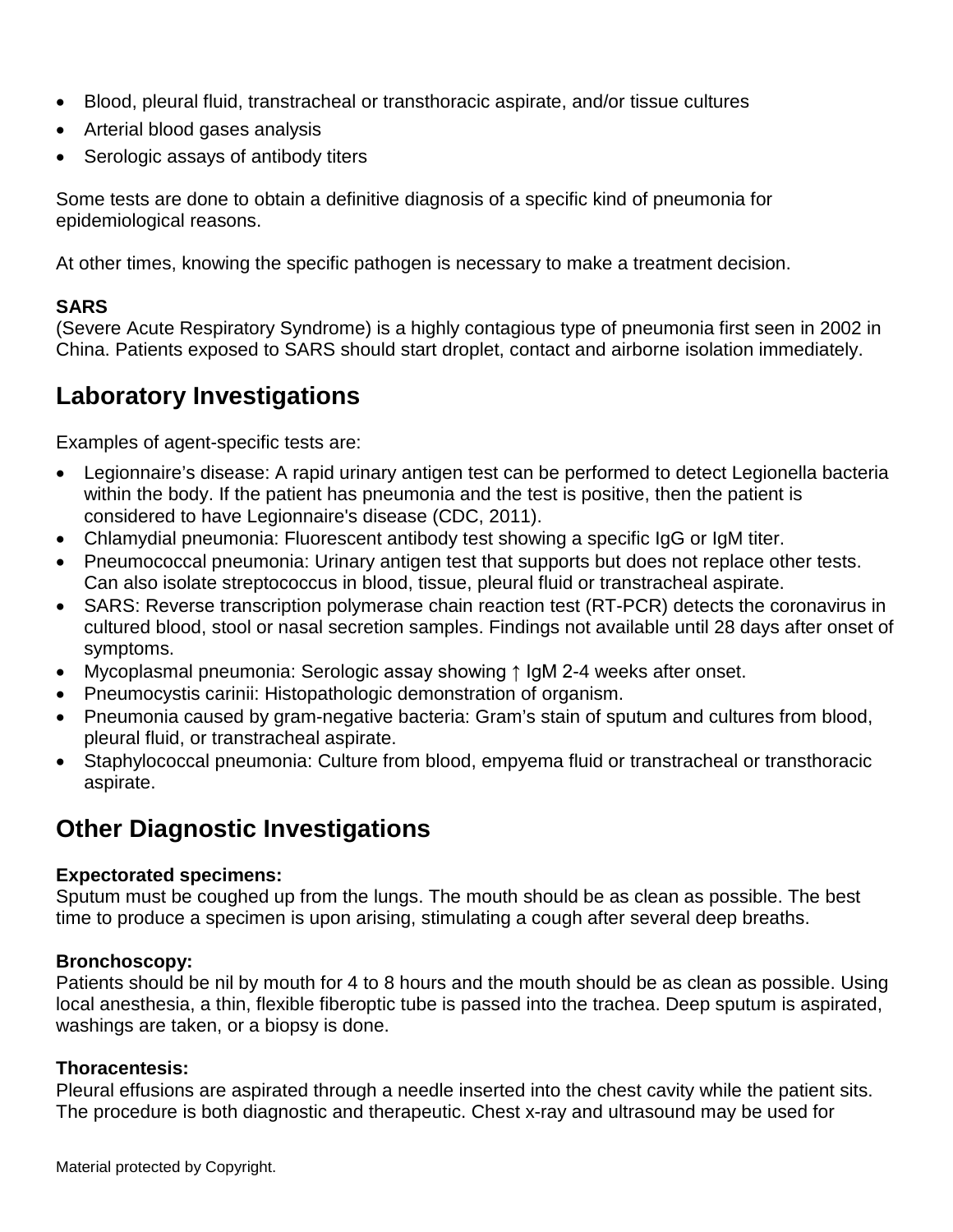- Blood, pleural fluid, transtracheal or transthoracic aspirate, and/or tissue cultures
- Arterial blood gases analysis
- Serologic assays of antibody titers

Some tests are done to obtain a definitive diagnosis of a specific kind of pneumonia for epidemiological reasons.

At other times, knowing the specific pathogen is necessary to make a treatment decision.

#### **SARS**

(Severe Acute Respiratory Syndrome) is a highly contagious type of pneumonia first seen in 2002 in China. Patients exposed to SARS should start droplet, contact and airborne isolation immediately.

### **Laboratory Investigations**

Examples of agent-specific tests are:

- Legionnaire's disease: A rapid urinary antigen test can be performed to detect Legionella bacteria within the body. If the patient has pneumonia and the test is positive, then the patient is considered to have Legionnaire's disease (CDC, 2011).
- Chlamydial pneumonia: Fluorescent antibody test showing a specific IgG or IgM titer.
- Pneumococcal pneumonia: Urinary antigen test that supports but does not replace other tests. Can also isolate streptococcus in blood, tissue, pleural fluid or transtracheal aspirate.
- SARS: Reverse transcription polymerase chain reaction test (RT-PCR) detects the coronavirus in cultured blood, stool or nasal secretion samples. Findings not available until 28 days after onset of symptoms.
- Mycoplasmal pneumonia: Serologic assay showing ↑ IgM 2-4 weeks after onset.
- Pneumocystis carinii: Histopathologic demonstration of organism.
- Pneumonia caused by gram-negative bacteria: Gram's stain of sputum and cultures from blood, pleural fluid, or transtracheal aspirate.
- Staphylococcal pneumonia: Culture from blood, empyema fluid or transtracheal or transthoracic aspirate.

### **Other Diagnostic Investigations**

#### **Expectorated specimens:**

Sputum must be coughed up from the lungs. The mouth should be as clean as possible. The best time to produce a specimen is upon arising, stimulating a cough after several deep breaths.

#### **Bronchoscopy:**

Patients should be nil by mouth for 4 to 8 hours and the mouth should be as clean as possible. Using local anesthesia, a thin, flexible fiberoptic tube is passed into the trachea. Deep sputum is aspirated, washings are taken, or a biopsy is done.

#### **Thoracentesis:**

Pleural effusions are aspirated through a needle inserted into the chest cavity while the patient sits. The procedure is both diagnostic and therapeutic. Chest x-ray and ultrasound may be used for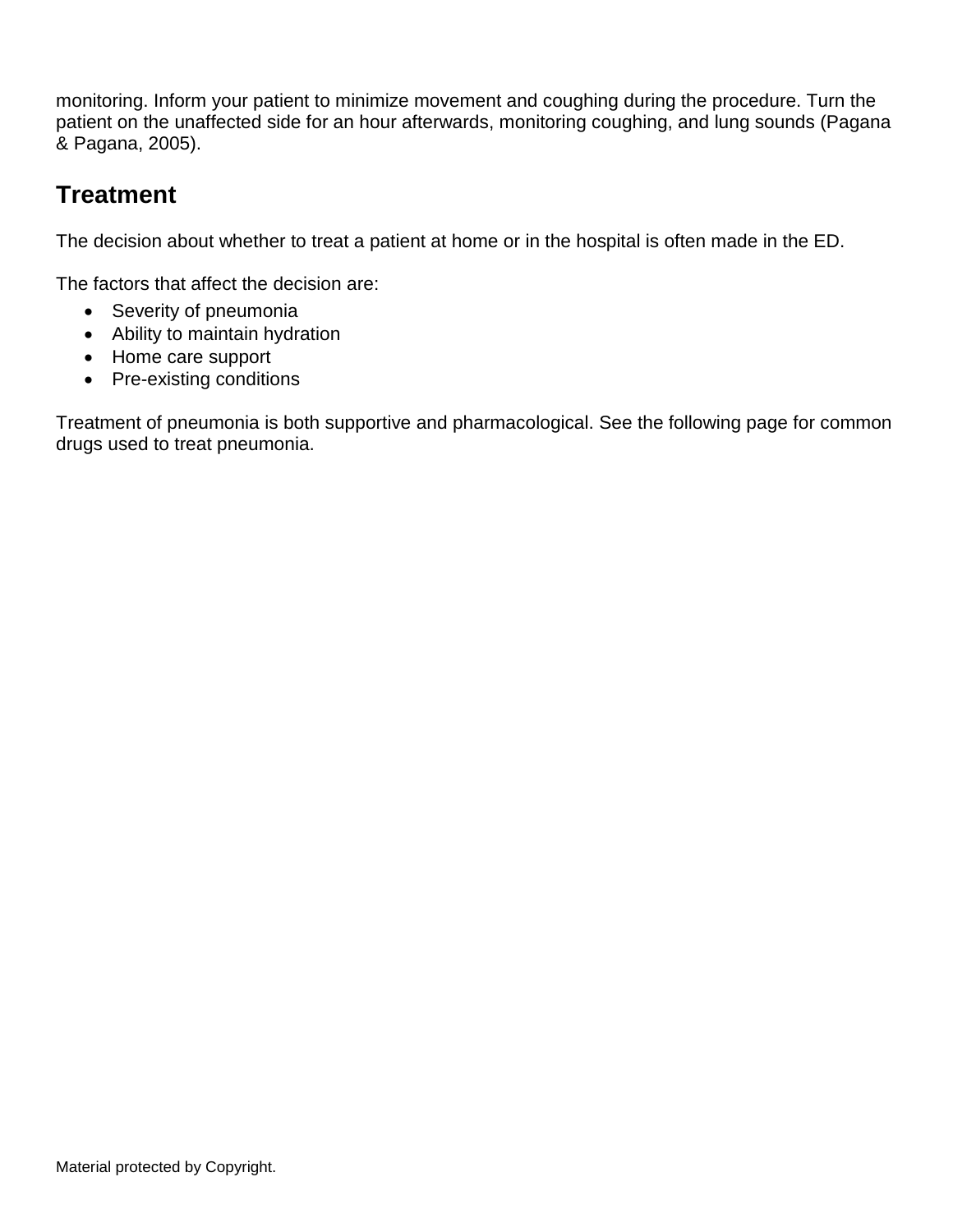monitoring. Inform your patient to minimize movement and coughing during the procedure. Turn the patient on the unaffected side for an hour afterwards, monitoring coughing, and lung sounds (Pagana & Pagana, 2005).

### **Treatment**

The decision about whether to treat a patient at home or in the hospital is often made in the ED.

The factors that affect the decision are:

- Severity of pneumonia
- Ability to maintain hydration
- Home care support
- Pre-existing conditions

Treatment of pneumonia is both supportive and pharmacological. See the following page for common drugs used to treat pneumonia.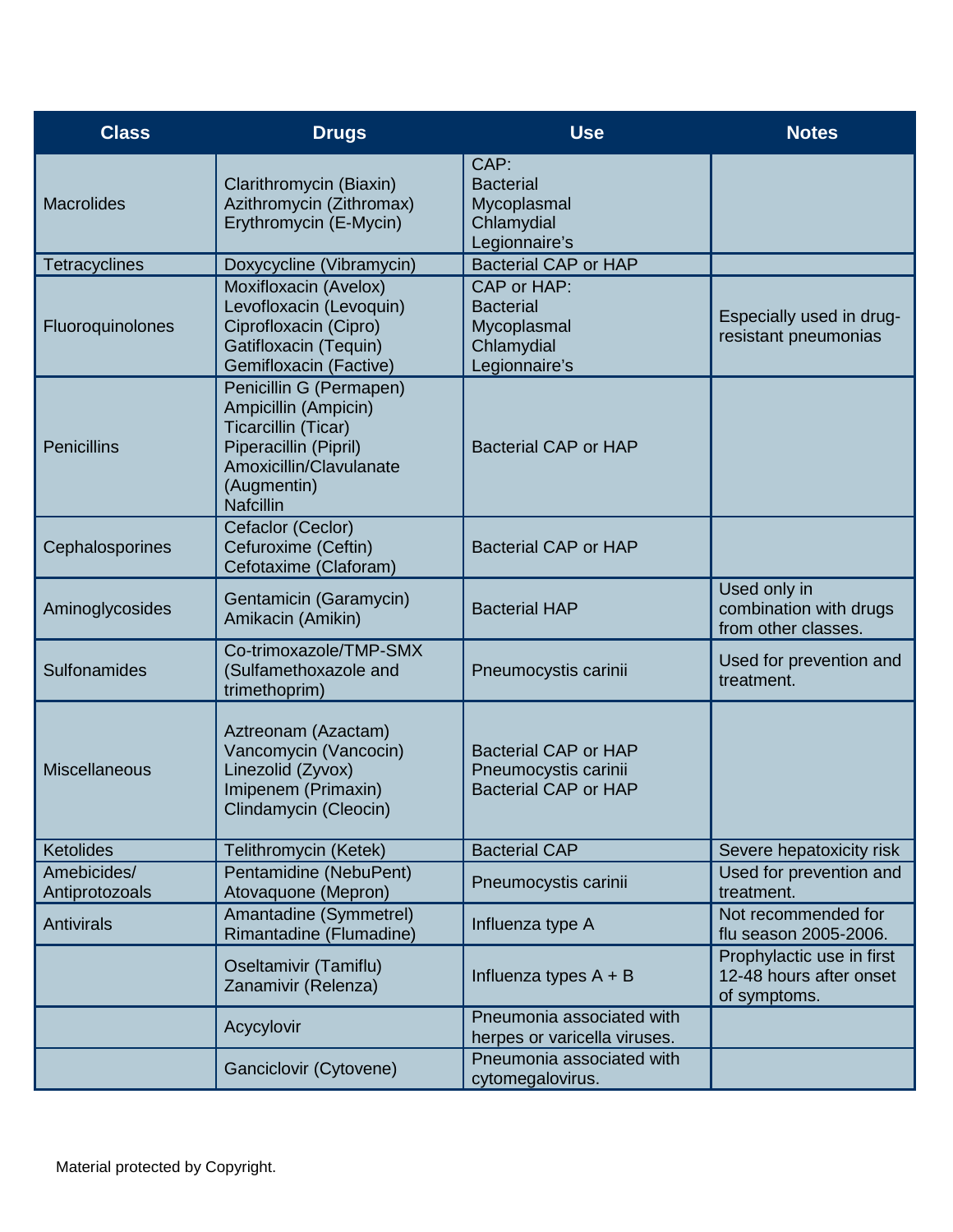| <b>Class</b>                  | <b>Drugs</b>                                                                                                                                                  | <b>Use</b>                                                                         | <b>Notes</b>                                                         |
|-------------------------------|---------------------------------------------------------------------------------------------------------------------------------------------------------------|------------------------------------------------------------------------------------|----------------------------------------------------------------------|
| <b>Macrolides</b>             | Clarithromycin (Biaxin)<br>Azithromycin (Zithromax)<br>Erythromycin (E-Mycin)                                                                                 | CAP:<br><b>Bacterial</b><br>Mycoplasmal<br>Chlamydial<br>Legionnaire's             |                                                                      |
| <b>Tetracyclines</b>          | Doxycycline (Vibramycin)                                                                                                                                      | <b>Bacterial CAP or HAP</b>                                                        |                                                                      |
| Fluoroquinolones              | Moxifloxacin (Avelox)<br>Levofloxacin (Levoquin)<br>Ciprofloxacin (Cipro)<br>Gatifloxacin (Tequin)<br>Gemifloxacin (Factive)                                  | CAP or HAP:<br><b>Bacterial</b><br>Mycoplasmal<br>Chlamydial<br>Legionnaire's      | Especially used in drug-<br>resistant pneumonias                     |
| <b>Penicillins</b>            | Penicillin G (Permapen)<br>Ampicillin (Ampicin)<br>Ticarcillin (Ticar)<br>Piperacillin (Pipril)<br>Amoxicillin/Clavulanate<br>(Augmentin)<br><b>Nafcillin</b> | <b>Bacterial CAP or HAP</b>                                                        |                                                                      |
| Cephalosporines               | Cefaclor (Ceclor)<br>Cefuroxime (Ceftin)<br>Cefotaxime (Claforam)                                                                                             | <b>Bacterial CAP or HAP</b>                                                        |                                                                      |
| Aminoglycosides               | Gentamicin (Garamycin)<br>Amikacin (Amikin)                                                                                                                   | <b>Bacterial HAP</b>                                                               | Used only in<br>combination with drugs<br>from other classes.        |
| Sulfonamides                  | Co-trimoxazole/TMP-SMX<br>(Sulfamethoxazole and<br>trimethoprim)                                                                                              | Pneumocystis carinii                                                               | Used for prevention and<br>treatment.                                |
| <b>Miscellaneous</b>          | Aztreonam (Azactam)<br>Vancomycin (Vancocin)<br>Linezolid (Zyvox)<br>Imipenem (Primaxin)<br>Clindamycin (Cleocin)                                             | <b>Bacterial CAP or HAP</b><br>Pneumocystis carinii<br><b>Bacterial CAP or HAP</b> |                                                                      |
| Ketolides                     | Telithromycin (Ketek)                                                                                                                                         | <b>Bacterial CAP</b>                                                               | Severe hepatoxicity risk                                             |
| Amebicides/<br>Antiprotozoals | Pentamidine (NebuPent)<br>Atovaquone (Mepron)                                                                                                                 | Pneumocystis carinii                                                               | Used for prevention and<br>treatment.                                |
| <b>Antivirals</b>             | Amantadine (Symmetrel)<br>Rimantadine (Flumadine)                                                                                                             | Influenza type A                                                                   | Not recommended for<br>flu season 2005-2006.                         |
|                               | Oseltamivir (Tamiflu)<br>Zanamivir (Relenza)                                                                                                                  | Influenza types $A + B$                                                            | Prophylactic use in first<br>12-48 hours after onset<br>of symptoms. |
|                               | Acycylovir                                                                                                                                                    | Pneumonia associated with<br>herpes or varicella viruses.                          |                                                                      |
|                               | Ganciclovir (Cytovene)                                                                                                                                        | Pneumonia associated with<br>cytomegalovirus.                                      |                                                                      |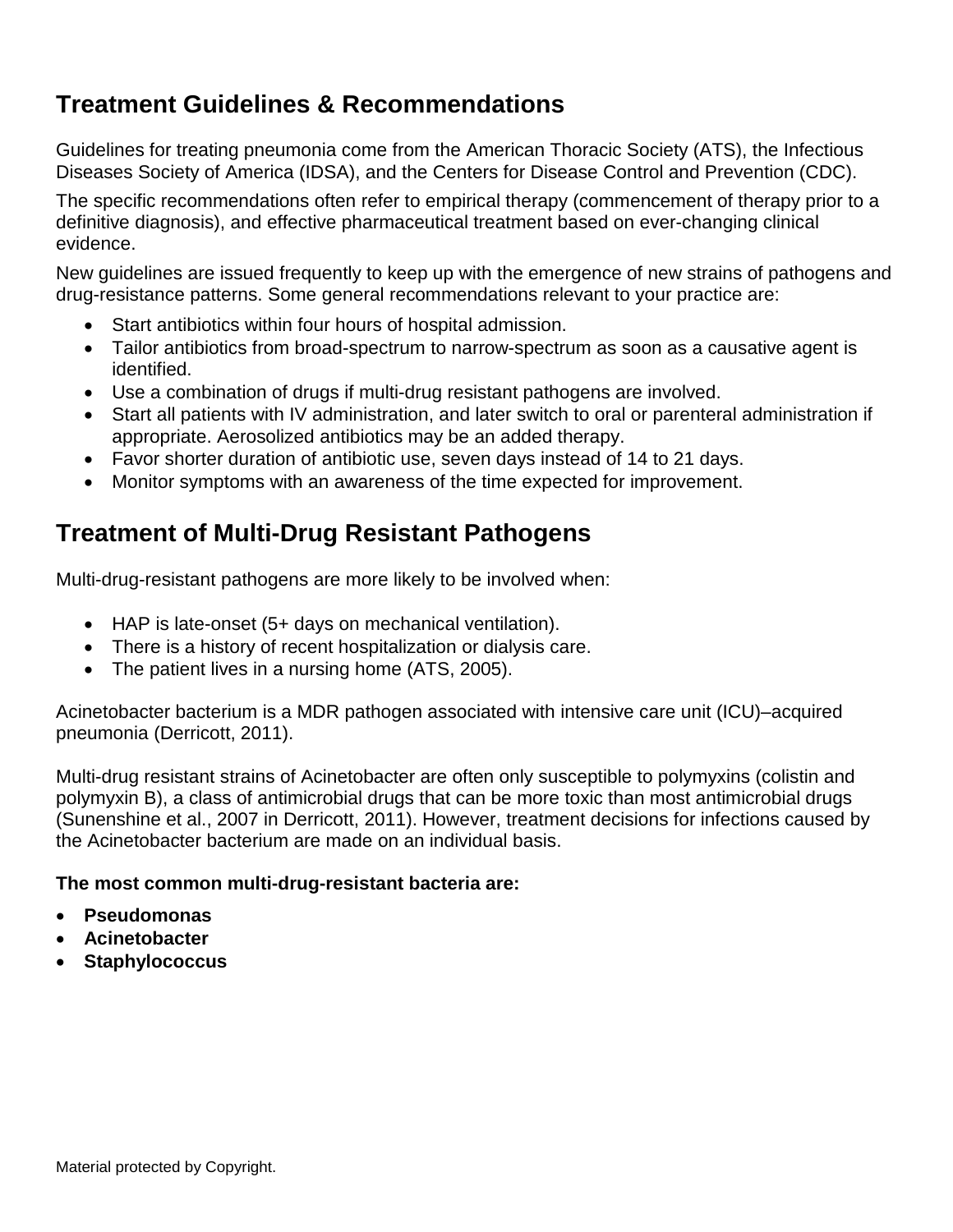## **Treatment Guidelines & Recommendations**

Guidelines for treating pneumonia come from the American Thoracic Society (ATS), the Infectious Diseases Society of America (IDSA), and the Centers for Disease Control and Prevention (CDC).

The specific recommendations often refer to empirical therapy (commencement of therapy prior to a definitive diagnosis), and effective pharmaceutical treatment based on ever-changing clinical evidence.

New guidelines are issued frequently to keep up with the emergence of new strains of pathogens and drug-resistance patterns. Some general recommendations relevant to your practice are:

- Start antibiotics within four hours of hospital admission.
- Tailor antibiotics from broad-spectrum to narrow-spectrum as soon as a causative agent is identified.
- Use a combination of drugs if multi-drug resistant pathogens are involved.
- Start all patients with IV administration, and later switch to oral or parenteral administration if appropriate. Aerosolized antibiotics may be an added therapy.
- Favor shorter duration of antibiotic use, seven days instead of 14 to 21 days.
- Monitor symptoms with an awareness of the time expected for improvement.

## **Treatment of Multi-Drug Resistant Pathogens**

Multi-drug-resistant pathogens are more likely to be involved when:

- HAP is late-onset (5+ days on mechanical ventilation).
- There is a history of recent hospitalization or dialysis care.
- The patient lives in a nursing home (ATS, 2005).

Acinetobacter bacterium is a MDR pathogen associated with intensive care unit (ICU)–acquired pneumonia (Derricott, 2011).

Multi-drug resistant strains of Acinetobacter are often only susceptible to polymyxins (colistin and polymyxin B), a class of antimicrobial drugs that can be more toxic than most antimicrobial drugs (Sunenshine et al., 2007 in Derricott, 2011). However, treatment decisions for infections caused by the Acinetobacter bacterium are made on an individual basis.

#### **The most common multi-drug-resistant bacteria are:**

- **Pseudomonas**
- **Acinetobacter**
- **Staphylococcus**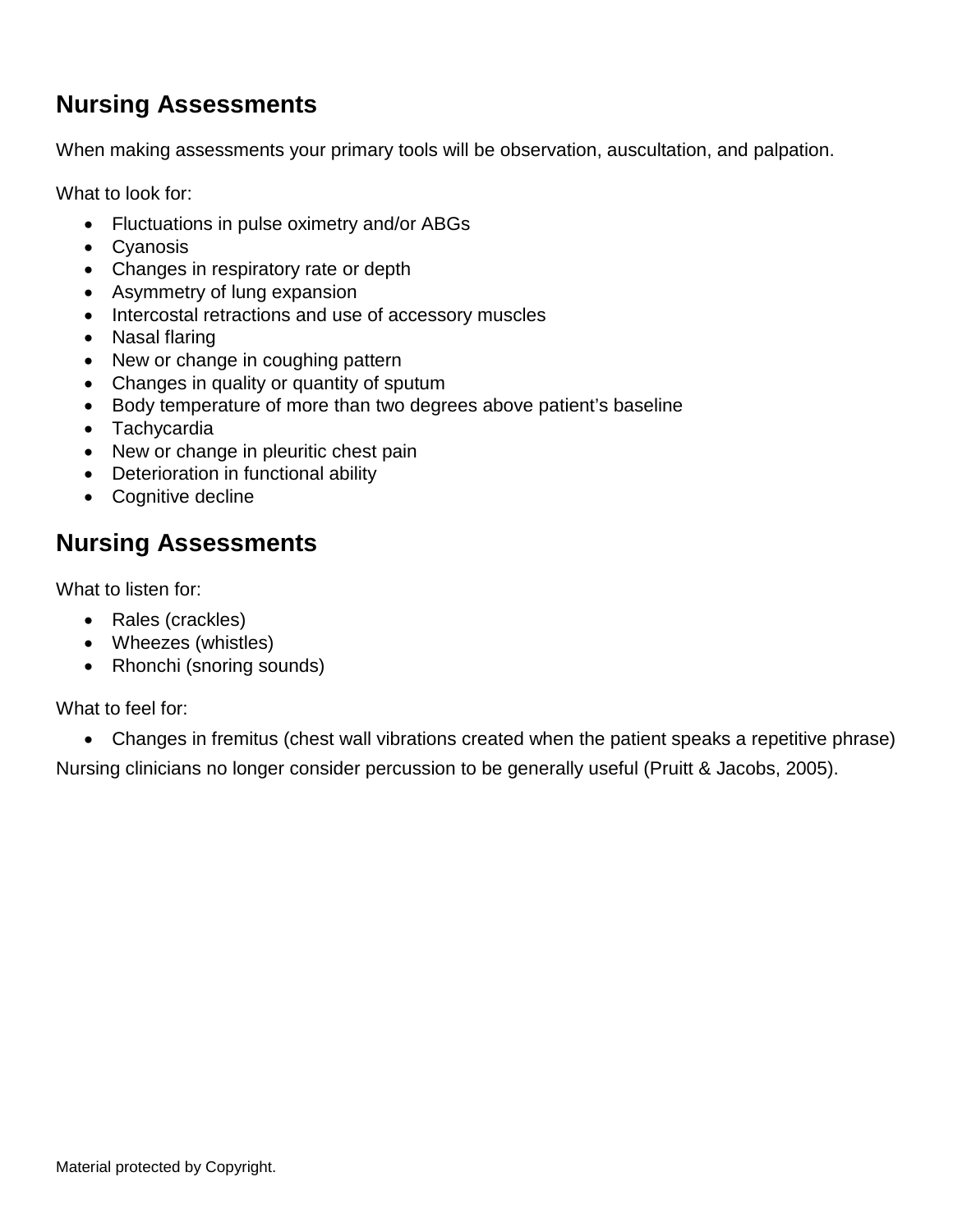## **Nursing Assessments**

When making assessments your primary tools will be observation, auscultation, and palpation.

What to look for:

- Fluctuations in pulse oximetry and/or ABGs
- Cyanosis
- Changes in respiratory rate or depth
- Asymmetry of lung expansion
- Intercostal retractions and use of accessory muscles
- Nasal flaring
- New or change in coughing pattern
- Changes in quality or quantity of sputum
- Body temperature of more than two degrees above patient's baseline
- Tachycardia
- New or change in pleuritic chest pain
- Deterioration in functional ability
- Cognitive decline

### **Nursing Assessments**

What to listen for:

- Rales (crackles)
- Wheezes (whistles)
- Rhonchi (snoring sounds)

What to feel for:

• Changes in fremitus (chest wall vibrations created when the patient speaks a repetitive phrase)

Nursing clinicians no longer consider percussion to be generally useful (Pruitt & Jacobs, 2005).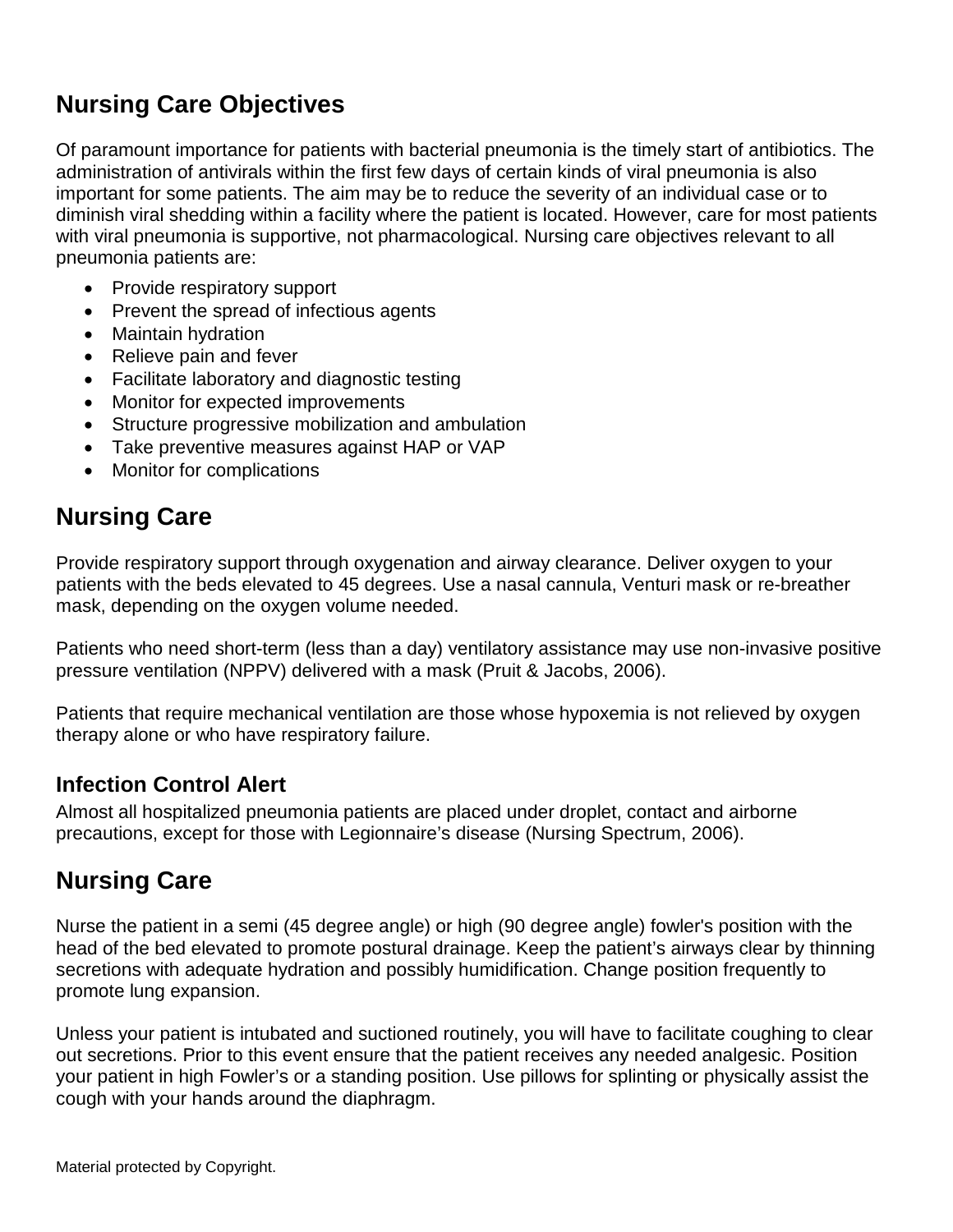## **Nursing Care Objectives**

Of paramount importance for patients with bacterial pneumonia is the timely start of antibiotics. The administration of antivirals within the first few days of certain kinds of viral pneumonia is also important for some patients. The aim may be to reduce the severity of an individual case or to diminish viral shedding within a facility where the patient is located. However, care for most patients with viral pneumonia is supportive, not pharmacological. Nursing care objectives relevant to all pneumonia patients are:

- Provide respiratory support
- Prevent the spread of infectious agents
- Maintain hydration
- Relieve pain and fever
- Facilitate laboratory and diagnostic testing
- Monitor for expected improvements
- Structure progressive mobilization and ambulation
- Take preventive measures against HAP or VAP
- Monitor for complications

### **Nursing Care**

Provide respiratory support through oxygenation and airway clearance. Deliver oxygen to your patients with the beds elevated to 45 degrees. Use a nasal cannula, Venturi mask or re-breather mask, depending on the oxygen volume needed.

Patients who need short-term (less than a day) ventilatory assistance may use non-invasive positive pressure ventilation (NPPV) delivered with a mask (Pruit & Jacobs, 2006).

Patients that require mechanical ventilation are those whose hypoxemia is not relieved by oxygen therapy alone or who have respiratory failure.

#### **Infection Control Alert**

Almost all hospitalized pneumonia patients are placed under droplet, contact and airborne precautions, except for those with Legionnaire's disease (Nursing Spectrum, 2006).

### **Nursing Care**

Nurse the patient in a semi (45 degree angle) or high (90 degree angle) fowler's position with the head of the bed elevated to promote postural drainage. Keep the patient's airways clear by thinning secretions with adequate hydration and possibly humidification. Change position frequently to promote lung expansion.

Unless your patient is intubated and suctioned routinely, you will have to facilitate coughing to clear out secretions. Prior to this event ensure that the patient receives any needed analgesic. Position your patient in high Fowler's or a standing position. Use pillows for splinting or physically assist the cough with your hands around the diaphragm.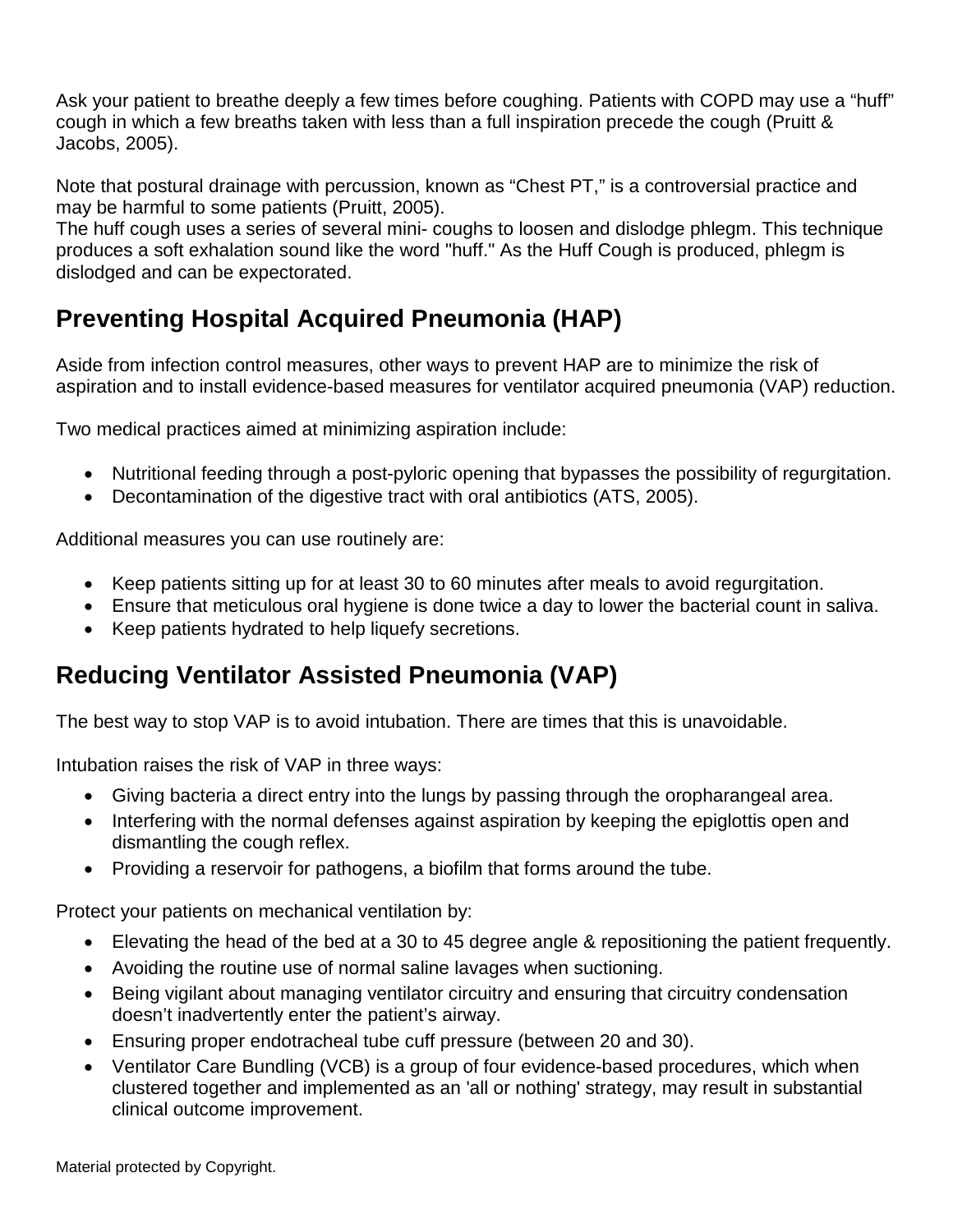Ask your patient to breathe deeply a few times before coughing. Patients with COPD may use a "huff" cough in which a few breaths taken with less than a full inspiration precede the cough (Pruitt & Jacobs, 2005).

Note that postural drainage with percussion, known as "Chest PT," is a controversial practice and may be harmful to some patients (Pruitt, 2005).

The huff cough uses a series of several mini- coughs to loosen and dislodge phlegm. This technique produces a soft exhalation sound like the word "huff." As the Huff Cough is produced, phlegm is dislodged and can be expectorated.

## **Preventing Hospital Acquired Pneumonia (HAP)**

Aside from infection control measures, other ways to prevent HAP are to minimize the risk of aspiration and to install evidence-based measures for ventilator acquired pneumonia (VAP) reduction.

Two medical practices aimed at minimizing aspiration include:

- Nutritional feeding through a post-pyloric opening that bypasses the possibility of regurgitation.
- Decontamination of the digestive tract with oral antibiotics (ATS, 2005).

Additional measures you can use routinely are:

- Keep patients sitting up for at least 30 to 60 minutes after meals to avoid regurgitation.
- Ensure that meticulous oral hygiene is done twice a day to lower the bacterial count in saliva.
- Keep patients hydrated to help liquefy secretions.

### **Reducing Ventilator Assisted Pneumonia (VAP)**

The best way to stop VAP is to avoid intubation. There are times that this is unavoidable.

Intubation raises the risk of VAP in three ways:

- Giving bacteria a direct entry into the lungs by passing through the oropharangeal area.
- Interfering with the normal defenses against aspiration by keeping the epiglottis open and dismantling the cough reflex.
- Providing a reservoir for pathogens, a biofilm that forms around the tube.

Protect your patients on mechanical ventilation by:

- Elevating the head of the bed at a 30 to 45 degree angle & repositioning the patient frequently.
- Avoiding the routine use of normal saline lavages when suctioning.
- Being vigilant about managing ventilator circuitry and ensuring that circuitry condensation doesn't inadvertently enter the patient's airway.
- Ensuring proper endotracheal tube cuff pressure (between 20 and 30).
- Ventilator Care Bundling (VCB) is a group of four evidence-based procedures, which when clustered together and implemented as an 'all or nothing' strategy, may result in substantial clinical outcome improvement.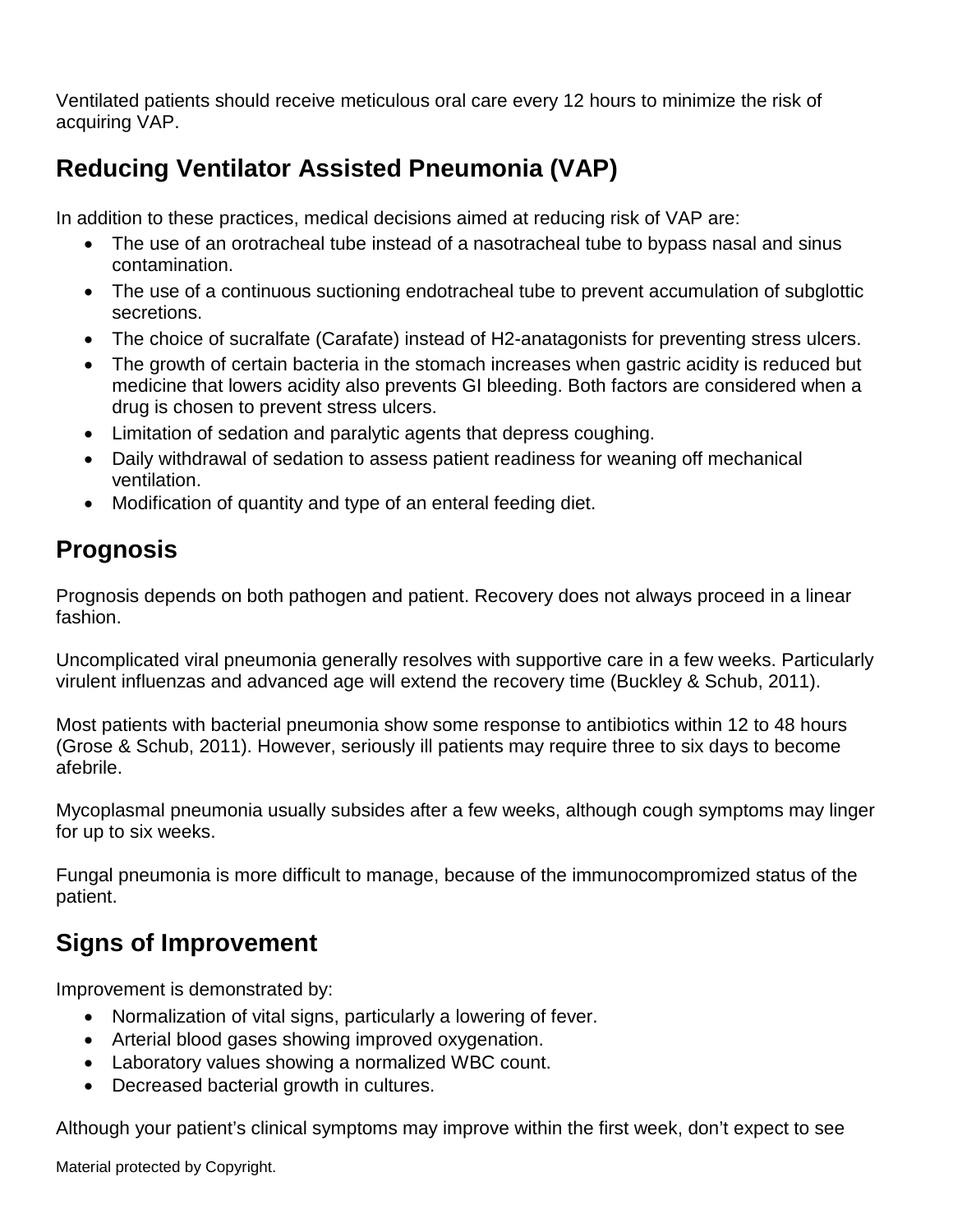Ventilated patients should receive meticulous oral care every 12 hours to minimize the risk of acquiring VAP.

# **Reducing Ventilator Assisted Pneumonia (VAP)**

In addition to these practices, medical decisions aimed at reducing risk of VAP are:

- The use of an orotracheal tube instead of a nasotracheal tube to bypass nasal and sinus contamination.
- The use of a continuous suctioning endotracheal tube to prevent accumulation of subglottic secretions.
- The choice of sucralfate (Carafate) instead of H2-anatagonists for preventing stress ulcers.
- The growth of certain bacteria in the stomach increases when gastric acidity is reduced but medicine that lowers acidity also prevents GI bleeding. Both factors are considered when a drug is chosen to prevent stress ulcers.
- Limitation of sedation and paralytic agents that depress coughing.
- Daily withdrawal of sedation to assess patient readiness for weaning off mechanical ventilation.
- Modification of quantity and type of an enteral feeding diet.

### **Prognosis**

Prognosis depends on both pathogen and patient. Recovery does not always proceed in a linear fashion.

Uncomplicated viral pneumonia generally resolves with supportive care in a few weeks. Particularly virulent influenzas and advanced age will extend the recovery time (Buckley & Schub, 2011).

Most patients with bacterial pneumonia show some response to antibiotics within 12 to 48 hours (Grose & Schub, 2011). However, seriously ill patients may require three to six days to become afebrile.

Mycoplasmal pneumonia usually subsides after a few weeks, although cough symptoms may linger for up to six weeks.

Fungal pneumonia is more difficult to manage, because of the immunocompromized status of the patient.

## **Signs of Improvement**

Improvement is demonstrated by:

- Normalization of vital signs, particularly a lowering of fever.
- Arterial blood gases showing improved oxygenation.
- Laboratory values showing a normalized WBC count.
- Decreased bacterial growth in cultures.

Although your patient's clinical symptoms may improve within the first week, don't expect to see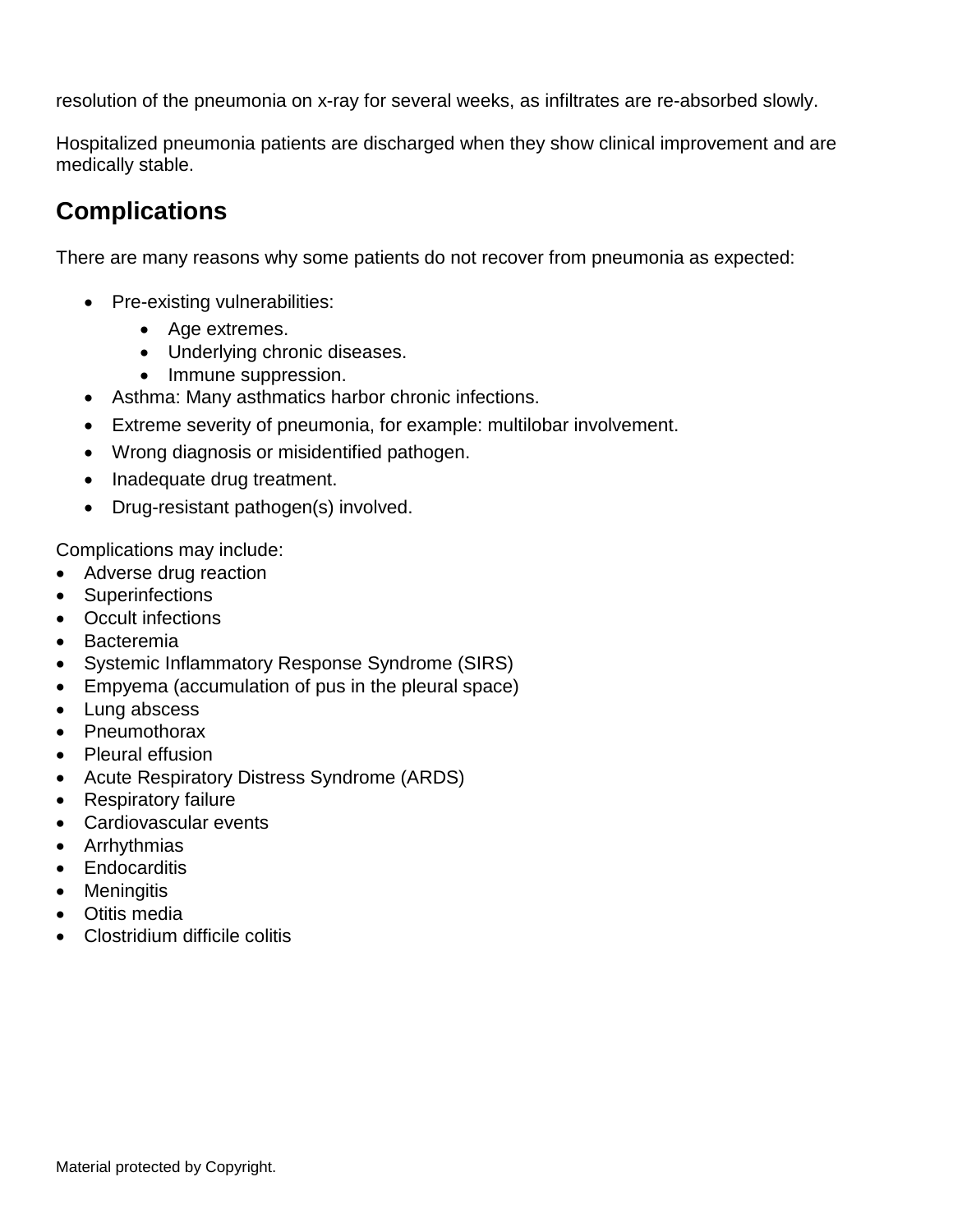resolution of the pneumonia on x-ray for several weeks, as infiltrates are re-absorbed slowly.

Hospitalized pneumonia patients are discharged when they show clinical improvement and are medically stable.

### **Complications**

There are many reasons why some patients do not recover from pneumonia as expected:

- Pre-existing vulnerabilities:
	- Age extremes.
	- Underlying chronic diseases.
	- Immune suppression.
- Asthma: Many asthmatics harbor chronic infections.
- Extreme severity of pneumonia, for example: multilobar involvement.
- Wrong diagnosis or misidentified pathogen.
- Inadequate drug treatment.
- Drug-resistant pathogen(s) involved.

Complications may include:

- Adverse drug reaction
- Superinfections
- Occult infections
- Bacteremia
- Systemic Inflammatory Response Syndrome (SIRS)
- Empyema (accumulation of pus in the pleural space)
- Lung abscess
- Pneumothorax
- Pleural effusion
- Acute Respiratory Distress Syndrome (ARDS)
- Respiratory failure
- Cardiovascular events
- Arrhythmias
- Endocarditis
- Meningitis
- Otitis media
- Clostridium difficile colitis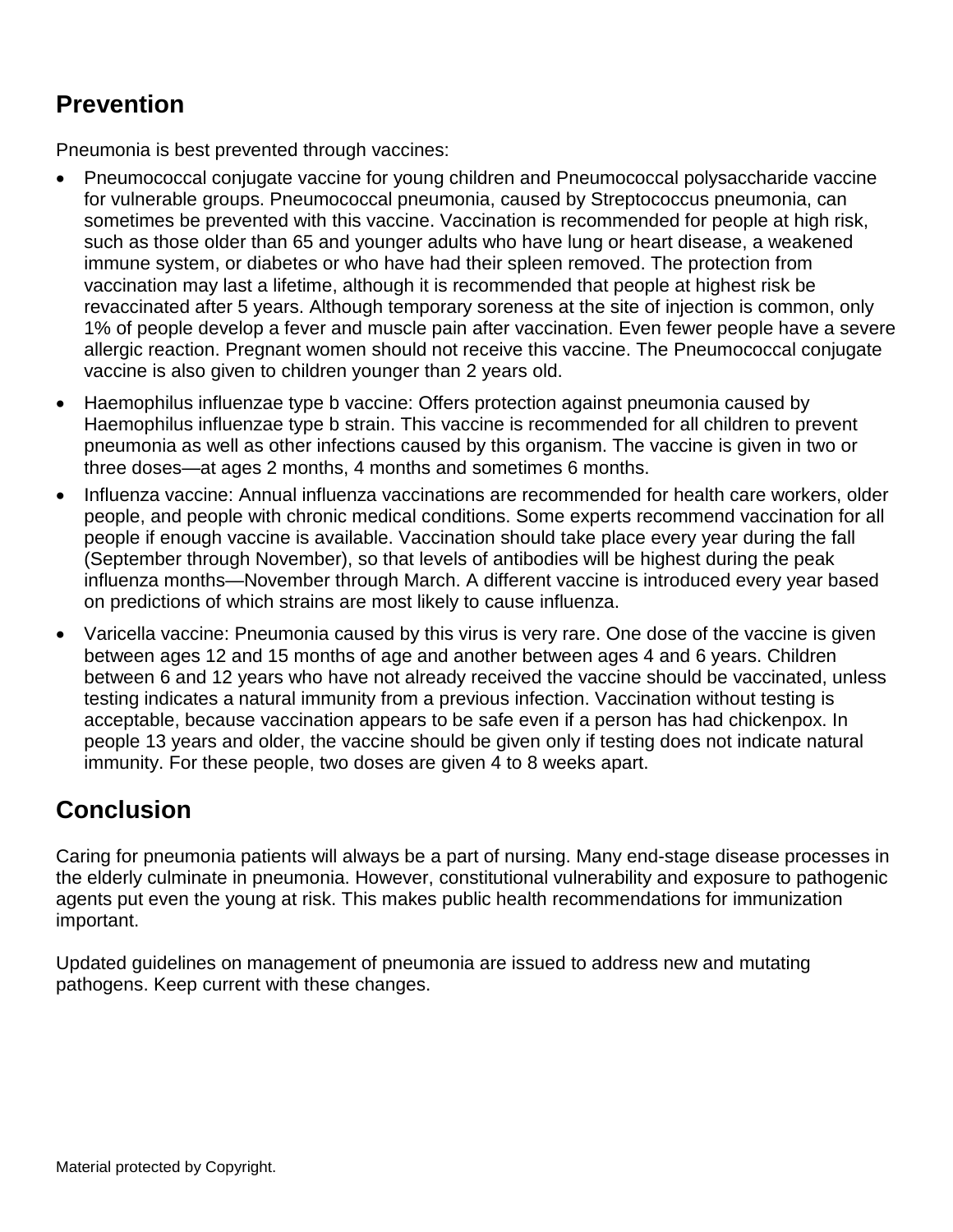# **Prevention**

Pneumonia is best prevented through vaccines:

- Pneumococcal conjugate vaccine for young children and Pneumococcal polysaccharide vaccine for vulnerable groups. Pneumococcal pneumonia, caused by Streptococcus pneumonia, can sometimes be prevented with this vaccine. Vaccination is recommended for people at high risk, such as those older than 65 and younger adults who have lung or heart disease, a weakened immune system, or diabetes or who have had their spleen removed. The protection from vaccination may last a lifetime, although it is recommended that people at highest risk be revaccinated after 5 years. Although temporary soreness at the site of injection is common, only 1% of people develop a fever and muscle pain after vaccination. Even fewer people have a severe allergic reaction. Pregnant women should not receive this vaccine. The Pneumococcal conjugate vaccine is also given to children younger than 2 years old.
- Haemophilus influenzae type b vaccine: Offers protection against pneumonia caused by Haemophilus influenzae type b strain. This vaccine is recommended for all children to prevent pneumonia as well as other infections caused by this organism. The vaccine is given in two or three doses—at ages 2 months, 4 months and sometimes 6 months.
- Influenza vaccine: Annual influenza vaccinations are recommended for health care workers, older people, and people with chronic medical conditions. Some experts recommend vaccination for all people if enough vaccine is available. Vaccination should take place every year during the fall (September through November), so that levels of antibodies will be highest during the peak influenza months—November through March. A different vaccine is introduced every year based on predictions of which strains are most likely to cause influenza.
- Varicella vaccine: Pneumonia caused by this virus is very rare. One dose of the vaccine is given between ages 12 and 15 months of age and another between ages 4 and 6 years. Children between 6 and 12 years who have not already received the vaccine should be vaccinated, unless testing indicates a natural immunity from a previous infection. Vaccination without testing is acceptable, because vaccination appears to be safe even if a person has had chickenpox. In people 13 years and older, the vaccine should be given only if testing does not indicate natural immunity. For these people, two doses are given 4 to 8 weeks apart.

### **Conclusion**

Caring for pneumonia patients will always be a part of nursing. Many end-stage disease processes in the elderly culminate in pneumonia. However, constitutional vulnerability and exposure to pathogenic agents put even the young at risk. This makes public health recommendations for immunization important.

Updated guidelines on management of pneumonia are issued to address new and mutating pathogens. Keep current with these changes.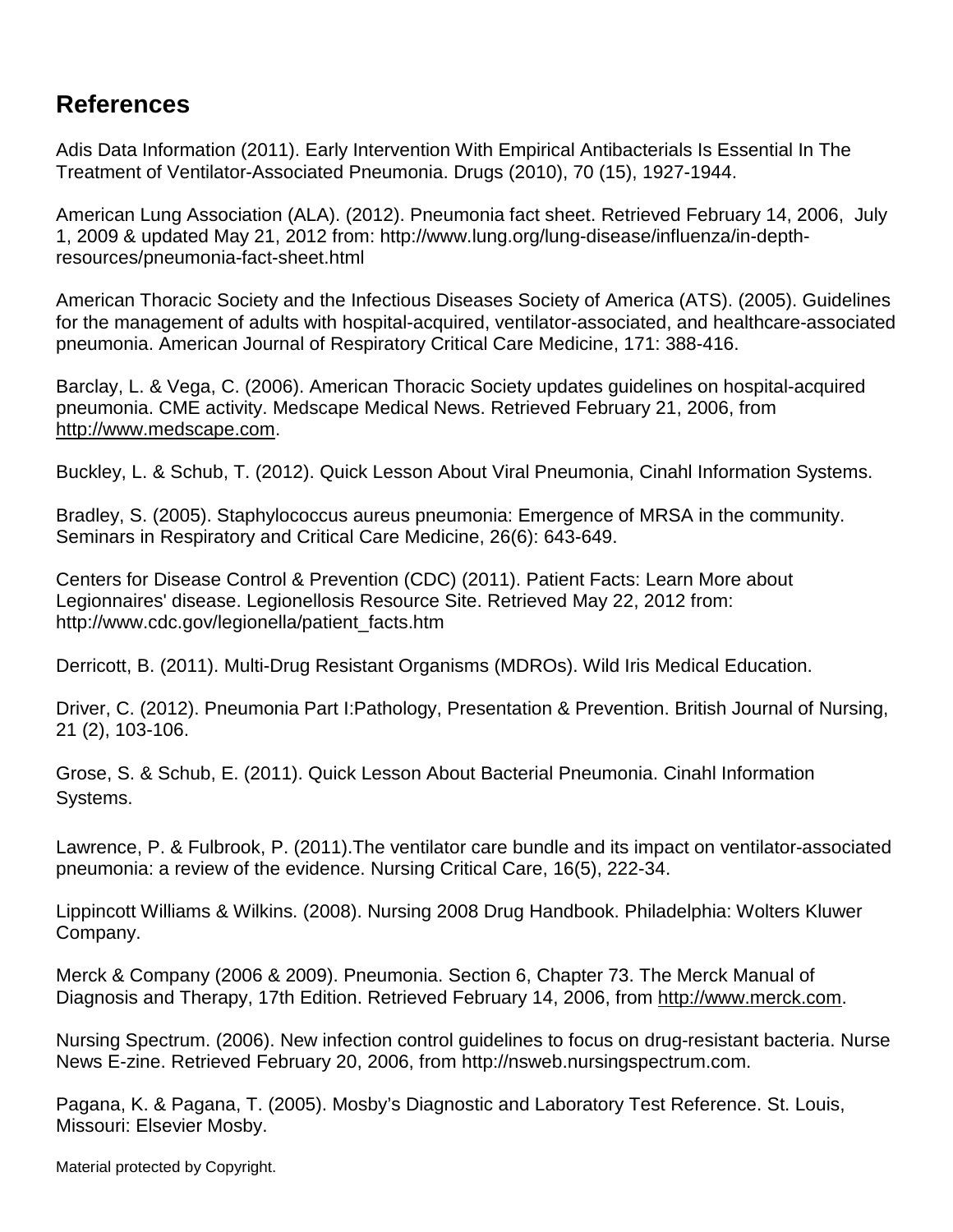### **References**

Adis Data Information (2011). Early Intervention With Empirical Antibacterials Is Essential In The Treatment of Ventilator-Associated Pneumonia. Drugs (2010), 70 (15), 1927-1944.

American Lung Association (ALA). (2012). Pneumonia fact sheet. Retrieved February 14, 2006, July 1, 2009 & updated May 21, 2012 from: http://www.lung.org/lung-disease/influenza/in-depthresources/pneumonia-fact-sheet.html

American Thoracic Society and the Infectious Diseases Society of America (ATS). (2005). Guidelines for the management of adults with hospital-acquired, ventilator-associated, and healthcare-associated pneumonia. American Journal of Respiratory Critical Care Medicine, 171: 388-416.

Barclay, L. & Vega, C. (2006). American Thoracic Society updates guidelines on hospital-acquired pneumonia. CME activity. Medscape Medical News. Retrieved February 21, 2006, from http://www.medscape.com.

Buckley, L. & Schub, T. (2012). Quick Lesson About Viral Pneumonia, Cinahl Information Systems.

Bradley, S. (2005). Staphylococcus aureus pneumonia: Emergence of MRSA in the community. Seminars in Respiratory and Critical Care Medicine, 26(6): 643-649.

Centers for Disease Control & Prevention (CDC) (2011). Patient Facts: Learn More about Legionnaires' disease. Legionellosis Resource Site. Retrieved May 22, 2012 from: http://www.cdc.gov/legionella/patient\_facts.htm

Derricott, B. (2011). Multi-Drug Resistant Organisms (MDROs). Wild Iris Medical Education.

Driver, C. (2012). Pneumonia Part I:Pathology, Presentation & Prevention. British Journal of Nursing, 21 (2), 103-106.

Grose, S. & Schub, E. (2011). Quick Lesson About Bacterial Pneumonia. Cinahl Information Systems.

Lawrence, P. & Fulbrook, P. (2011).The ventilator care bundle and its impact on ventilator-associated pneumonia: a review of the evidence. Nursing Critical Care, 16(5), 222-34.

Lippincott Williams & Wilkins. (2008). Nursing 2008 Drug Handbook. Philadelphia: Wolters Kluwer Company.

Merck & Company (2006 & 2009). Pneumonia. Section 6, Chapter 73. The Merck Manual of Diagnosis and Therapy, 17th Edition. Retrieved February 14, 2006, from [http://www.merck.com.](http://www.merck.com/)

Nursing Spectrum. (2006). New infection control guidelines to focus on drug-resistant bacteria. Nurse News E-zine. Retrieved February 20, 2006, from http://nsweb.nursingspectrum.com.

Pagana, K. & Pagana, T. (2005). Mosby's Diagnostic and Laboratory Test Reference. St. Louis, Missouri: Elsevier Mosby.